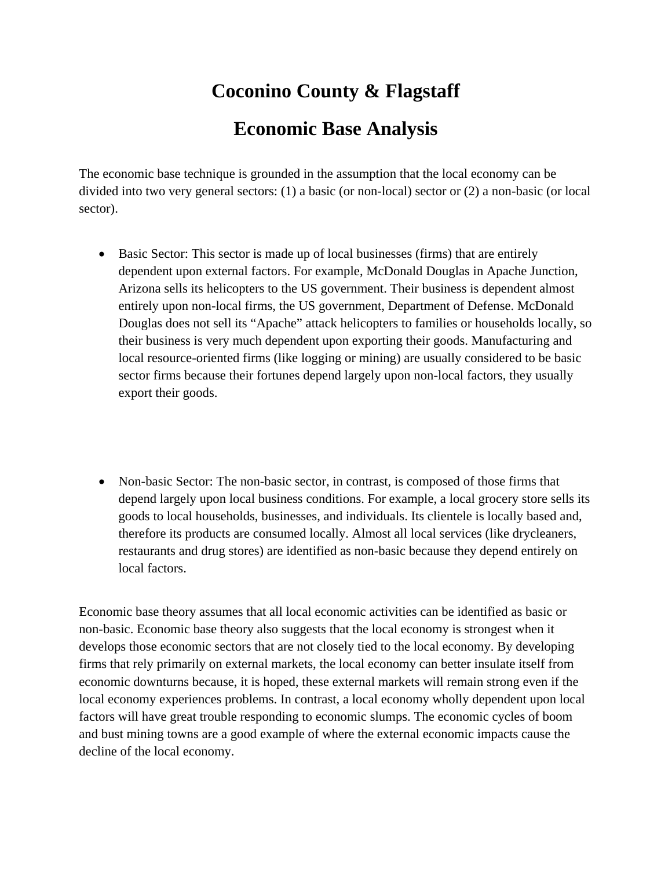# **Coconino County & Flagstaff Economic Base Analysis**

The economic base technique is grounded in the assumption that the local economy can be divided into two very general sectors: (1) a basic (or non-local) sector or (2) a non-basic (or local sector).

- Basic Sector: This sector is made up of local businesses (firms) that are entirely dependent upon external factors. For example, McDonald Douglas in Apache Junction, Arizona sells its helicopters to the US government. Their business is dependent almost entirely upon non-local firms, the US government, Department of Defense. McDonald Douglas does not sell its "Apache" attack helicopters to families or households locally, so their business is very much dependent upon exporting their goods. Manufacturing and local resource-oriented firms (like logging or mining) are usually considered to be basic sector firms because their fortunes depend largely upon non-local factors, they usually export their goods.
- Non-basic Sector: The non-basic sector, in contrast, is composed of those firms that depend largely upon local business conditions. For example, a local grocery store sells its goods to local households, businesses, and individuals. Its clientele is locally based and, therefore its products are consumed locally. Almost all local services (like drycleaners, restaurants and drug stores) are identified as non-basic because they depend entirely on local factors.

Economic base theory assumes that all local economic activities can be identified as basic or non-basic. Economic base theory also suggests that the local economy is strongest when it develops those economic sectors that are not closely tied to the local economy. By developing firms that rely primarily on external markets, the local economy can better insulate itself from economic downturns because, it is hoped, these external markets will remain strong even if the local economy experiences problems. In contrast, a local economy wholly dependent upon local factors will have great trouble responding to economic slumps. The economic cycles of boom and bust mining towns are a good example of where the external economic impacts cause the decline of the local economy.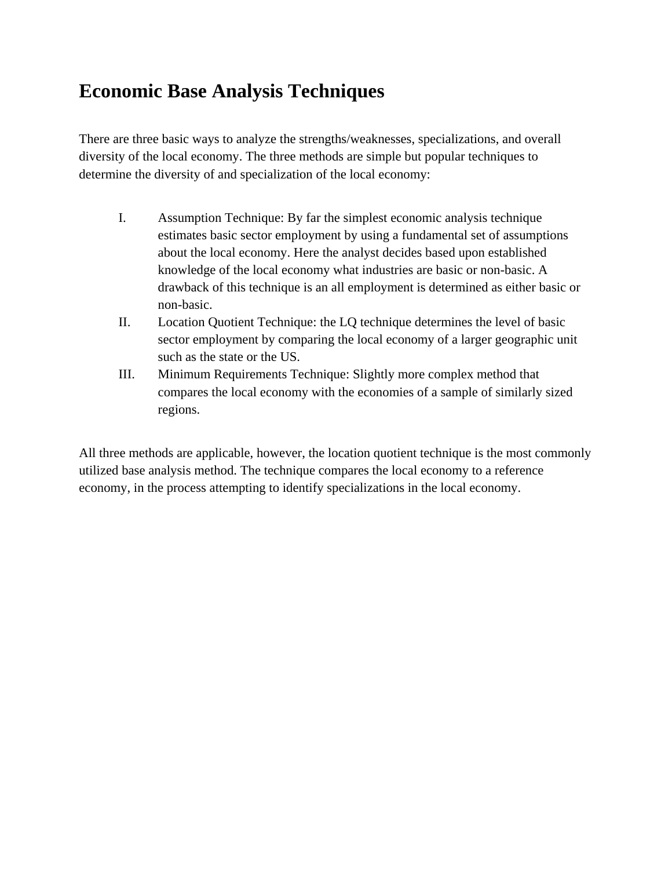## **Economic Base Analysis Techniques**

There are three basic ways to analyze the strengths/weaknesses, specializations, and overall diversity of the local economy. The three methods are simple but popular techniques to determine the diversity of and specialization of the local economy:

- I. Assumption Technique: By far the simplest economic analysis technique estimates basic sector employment by using a fundamental set of assumptions about the local economy. Here the analyst decides based upon established knowledge of the local economy what industries are basic or non-basic. A drawback of this technique is an all employment is determined as either basic or non-basic.
- II. Location Quotient Technique: the LQ technique determines the level of basic sector employment by comparing the local economy of a larger geographic unit such as the state or the US.
- III. Minimum Requirements Technique: Slightly more complex method that compares the local economy with the economies of a sample of similarly sized regions.

All three methods are applicable, however, the location quotient technique is the most commonly utilized base analysis method. The technique compares the local economy to a reference economy, in the process attempting to identify specializations in the local economy.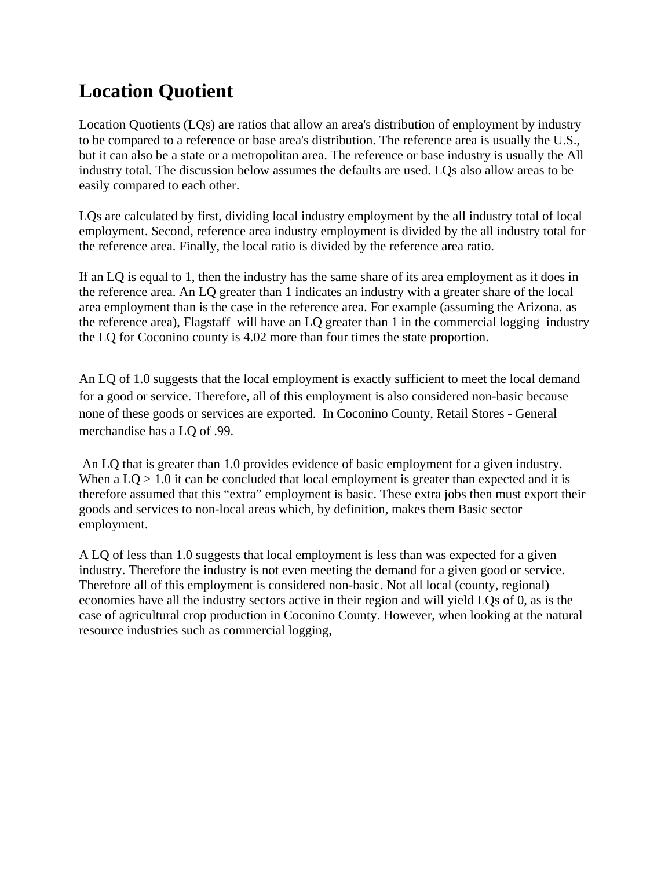# **Location Quotient**

Location Quotients (LQs) are ratios that allow an area's distribution of employment by industry to be compared to a reference or base area's distribution. The reference area is usually the U.S., but it can also be a state or a metropolitan area. The reference or base industry is usually the All industry total. The discussion below assumes the defaults are used. LQs also allow areas to be easily compared to each other.

LQs are calculated by first, dividing local industry employment by the all industry total of local employment. Second, reference area industry employment is divided by the all industry total for the reference area. Finally, the local ratio is divided by the reference area ratio.

If an LQ is equal to 1, then the industry has the same share of its area employment as it does in the reference area. An LQ greater than 1 indicates an industry with a greater share of the local area employment than is the case in the reference area. For example (assuming the Arizona. as the reference area), Flagstaff will have an LQ greater than 1 in the commercial logging industry the LQ for Coconino county is 4.02 more than four times the state proportion.

An LQ of 1.0 suggests that the local employment is exactly sufficient to meet the local demand for a good or service. Therefore, all of this employment is also considered non-basic because none of these goods or services are exported. In Coconino County, Retail Stores - General merchandise has a LQ of .99.

 An LQ that is greater than 1.0 provides evidence of basic employment for a given industry. When a  $LO > 1.0$  it can be concluded that local employment is greater than expected and it is therefore assumed that this "extra" employment is basic. These extra jobs then must export their goods and services to non-local areas which, by definition, makes them Basic sector employment.

A LQ of less than 1.0 suggests that local employment is less than was expected for a given industry. Therefore the industry is not even meeting the demand for a given good or service. Therefore all of this employment is considered non-basic. Not all local (county, regional) economies have all the industry sectors active in their region and will yield LQs of 0, as is the case of agricultural crop production in Coconino County. However, when looking at the natural resource industries such as commercial logging,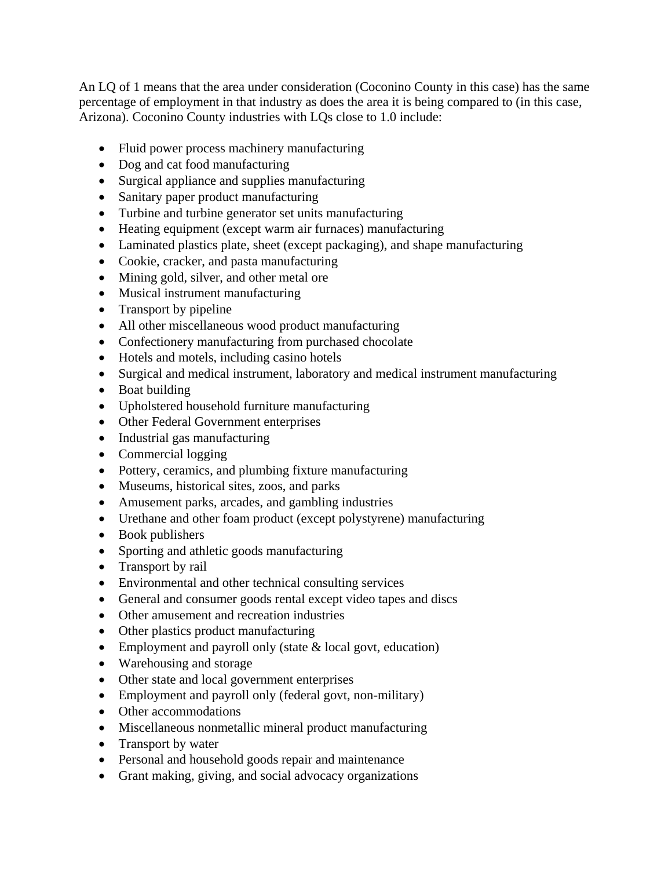An LQ of 1 means that the area under consideration (Coconino County in this case) has the same percentage of employment in that industry as does the area it is being compared to (in this case, Arizona). Coconino County industries with LQs close to 1.0 include:

- Fluid power process machinery manufacturing
- Dog and cat food manufacturing
- Surgical appliance and supplies manufacturing
- Sanitary paper product manufacturing
- Turbine and turbine generator set units manufacturing
- Heating equipment (except warm air furnaces) manufacturing
- Laminated plastics plate, sheet (except packaging), and shape manufacturing
- Cookie, cracker, and pasta manufacturing
- Mining gold, silver, and other metal ore
- Musical instrument manufacturing
- Transport by pipeline
- All other miscellaneous wood product manufacturing
- Confectionery manufacturing from purchased chocolate
- Hotels and motels, including casino hotels
- Surgical and medical instrument, laboratory and medical instrument manufacturing
- Boat building
- Upholstered household furniture manufacturing
- Other Federal Government enterprises
- Industrial gas manufacturing
- Commercial logging
- Pottery, ceramics, and plumbing fixture manufacturing
- Museums, historical sites, zoos, and parks
- Amusement parks, arcades, and gambling industries
- Urethane and other foam product (except polystyrene) manufacturing
- Book publishers
- Sporting and athletic goods manufacturing
- Transport by rail
- Environmental and other technical consulting services
- General and consumer goods rental except video tapes and discs
- Other amusement and recreation industries
- Other plastics product manufacturing
- $\bullet$  Employment and payroll only (state  $\&$  local govt, education)
- Warehousing and storage
- Other state and local government enterprises
- Employment and payroll only (federal govt, non-military)
- Other accommodations
- Miscellaneous nonmetallic mineral product manufacturing
- Transport by water
- Personal and household goods repair and maintenance
- Grant making, giving, and social advocacy organizations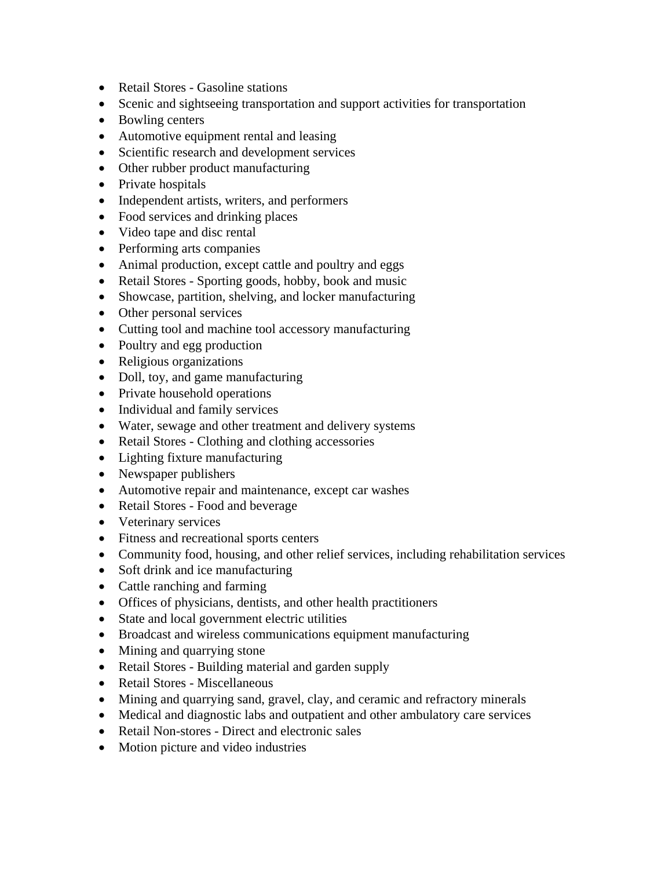- Retail Stores Gasoline stations
- Scenic and sightseeing transportation and support activities for transportation
- Bowling centers
- Automotive equipment rental and leasing
- Scientific research and development services
- Other rubber product manufacturing
- Private hospitals
- Independent artists, writers, and performers
- Food services and drinking places
- Video tape and disc rental
- Performing arts companies
- Animal production, except cattle and poultry and eggs
- Retail Stores Sporting goods, hobby, book and music
- Showcase, partition, shelving, and locker manufacturing
- Other personal services
- Cutting tool and machine tool accessory manufacturing
- Poultry and egg production
- Religious organizations
- Doll, toy, and game manufacturing
- Private household operations
- Individual and family services
- Water, sewage and other treatment and delivery systems
- Retail Stores Clothing and clothing accessories
- Lighting fixture manufacturing
- Newspaper publishers
- Automotive repair and maintenance, except car washes
- Retail Stores Food and beverage
- Veterinary services
- Fitness and recreational sports centers
- Community food, housing, and other relief services, including rehabilitation services
- Soft drink and ice manufacturing
- Cattle ranching and farming
- Offices of physicians, dentists, and other health practitioners
- State and local government electric utilities
- Broadcast and wireless communications equipment manufacturing
- Mining and quarrying stone
- Retail Stores Building material and garden supply
- Retail Stores Miscellaneous
- Mining and quarrying sand, gravel, clay, and ceramic and refractory minerals
- Medical and diagnostic labs and outpatient and other ambulatory care services
- Retail Non-stores Direct and electronic sales
- Motion picture and video industries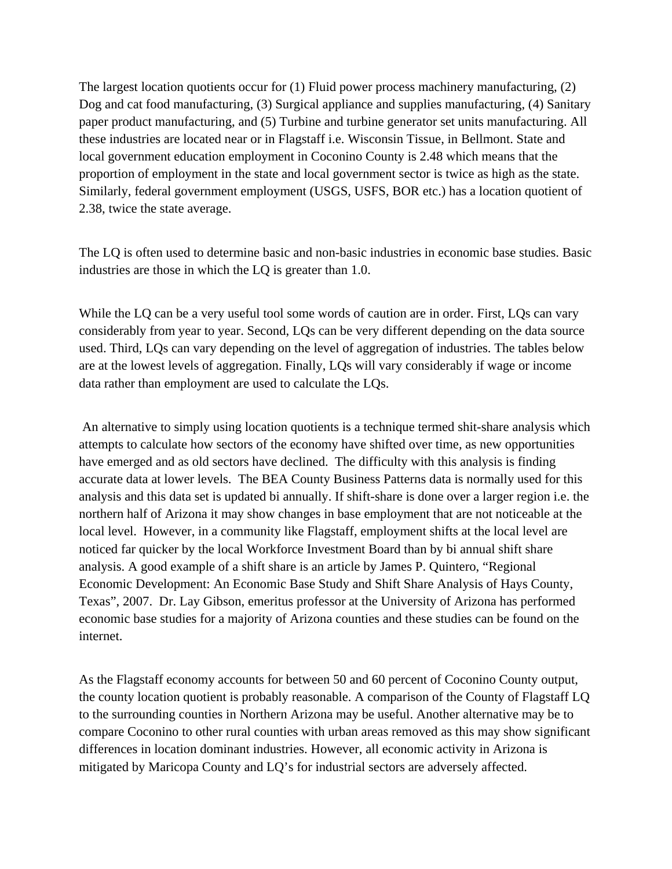The largest location quotients occur for (1) Fluid power process machinery manufacturing, (2) Dog and cat food manufacturing, (3) Surgical appliance and supplies manufacturing, (4) Sanitary paper product manufacturing, and (5) Turbine and turbine generator set units manufacturing. All these industries are located near or in Flagstaff i.e. Wisconsin Tissue, in Bellmont. State and local government education employment in Coconino County is 2.48 which means that the proportion of employment in the state and local government sector is twice as high as the state. Similarly, federal government employment (USGS, USFS, BOR etc.) has a location quotient of 2.38, twice the state average.

The LQ is often used to determine basic and non-basic industries in economic base studies. Basic industries are those in which the LQ is greater than 1.0.

While the LQ can be a very useful tool some words of caution are in order. First, LQs can vary considerably from year to year. Second, LQs can be very different depending on the data source used. Third, LQs can vary depending on the level of aggregation of industries. The tables below are at the lowest levels of aggregation. Finally, LQs will vary considerably if wage or income data rather than employment are used to calculate the LQs.

 An alternative to simply using location quotients is a technique termed shit-share analysis which attempts to calculate how sectors of the economy have shifted over time, as new opportunities have emerged and as old sectors have declined. The difficulty with this analysis is finding accurate data at lower levels. The BEA County Business Patterns data is normally used for this analysis and this data set is updated bi annually. If shift-share is done over a larger region i.e. the northern half of Arizona it may show changes in base employment that are not noticeable at the local level. However, in a community like Flagstaff, employment shifts at the local level are noticed far quicker by the local Workforce Investment Board than by bi annual shift share analysis. A good example of a shift share is an article by James P. Quintero, "Regional Economic Development: An Economic Base Study and Shift Share Analysis of Hays County, Texas", 2007. Dr. Lay Gibson, emeritus professor at the University of Arizona has performed economic base studies for a majority of Arizona counties and these studies can be found on the internet.

As the Flagstaff economy accounts for between 50 and 60 percent of Coconino County output, the county location quotient is probably reasonable. A comparison of the County of Flagstaff LQ to the surrounding counties in Northern Arizona may be useful. Another alternative may be to compare Coconino to other rural counties with urban areas removed as this may show significant differences in location dominant industries. However, all economic activity in Arizona is mitigated by Maricopa County and LQ's for industrial sectors are adversely affected.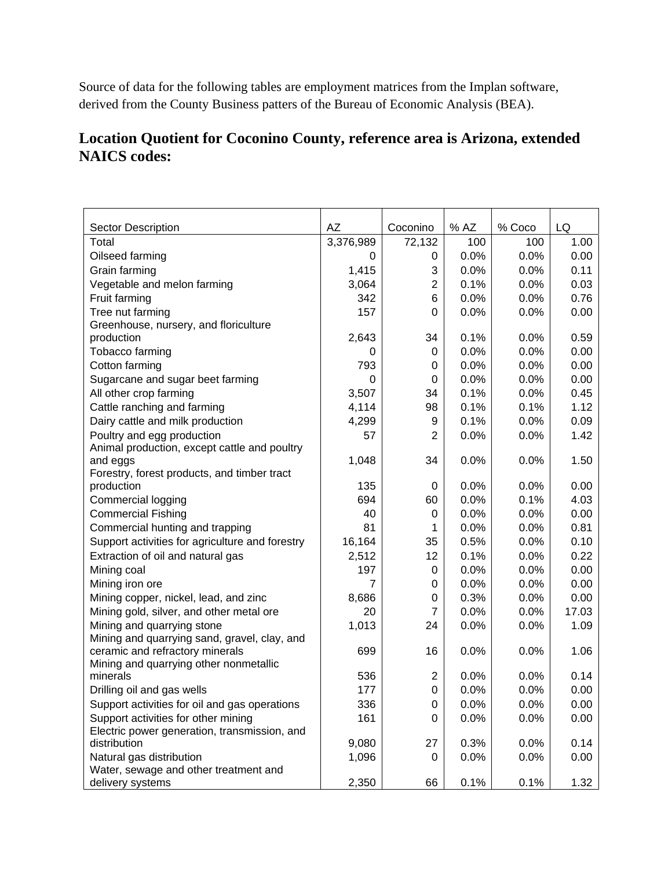Source of data for the following tables are employment matrices from the Implan software, derived from the County Business patters of the Bureau of Economic Analysis (BEA).

#### **Location Quotient for Coconino County, reference area is Arizona, extended NAICS codes:**

| <b>Sector Description</b>                                         | AZ        | Coconino       | % AZ | % Coco | LQ    |
|-------------------------------------------------------------------|-----------|----------------|------|--------|-------|
| Total                                                             | 3,376,989 | 72,132         | 100  | 100    | 1.00  |
| Oilseed farming                                                   | 0         | 0              | 0.0% | 0.0%   | 0.00  |
| Grain farming                                                     | 1,415     | 3              | 0.0% | 0.0%   | 0.11  |
| Vegetable and melon farming                                       | 3,064     | $\overline{2}$ | 0.1% | 0.0%   | 0.03  |
| Fruit farming                                                     | 342       | 6              | 0.0% | 0.0%   | 0.76  |
| Tree nut farming                                                  | 157       | $\Omega$       | 0.0% | 0.0%   | 0.00  |
| Greenhouse, nursery, and floriculture                             |           |                |      |        |       |
| production                                                        | 2,643     | 34             | 0.1% | 0.0%   | 0.59  |
| Tobacco farming                                                   | 0         | 0              | 0.0% | 0.0%   | 0.00  |
| Cotton farming                                                    | 793       | 0              | 0.0% | 0.0%   | 0.00  |
| Sugarcane and sugar beet farming                                  | 0         | 0              | 0.0% | 0.0%   | 0.00  |
| All other crop farming                                            | 3,507     | 34             | 0.1% | 0.0%   | 0.45  |
| Cattle ranching and farming                                       | 4,114     | 98             | 0.1% | 0.1%   | 1.12  |
| Dairy cattle and milk production                                  | 4,299     | 9              | 0.1% | 0.0%   | 0.09  |
| Poultry and egg production                                        | 57        | $\overline{2}$ | 0.0% | 0.0%   | 1.42  |
| Animal production, except cattle and poultry                      |           |                |      |        |       |
| and eggs                                                          | 1,048     | 34             | 0.0% | 0.0%   | 1.50  |
| Forestry, forest products, and timber tract                       |           |                |      |        |       |
| production                                                        | 135       | 0              | 0.0% | 0.0%   | 0.00  |
| Commercial logging                                                | 694       | 60             | 0.0% | 0.1%   | 4.03  |
| <b>Commercial Fishing</b>                                         | 40        | 0              | 0.0% | 0.0%   | 0.00  |
| Commercial hunting and trapping                                   | 81        | 1              | 0.0% | 0.0%   | 0.81  |
| Support activities for agriculture and forestry                   | 16,164    | 35             | 0.5% | 0.0%   | 0.10  |
| Extraction of oil and natural gas                                 | 2,512     | 12             | 0.1% | 0.0%   | 0.22  |
| Mining coal                                                       | 197       | 0              | 0.0% | 0.0%   | 0.00  |
| Mining iron ore                                                   | 7         | 0              | 0.0% | 0.0%   | 0.00  |
| Mining copper, nickel, lead, and zinc                             | 8,686     | 0              | 0.3% | 0.0%   | 0.00  |
| Mining gold, silver, and other metal ore                          | 20        | 7              | 0.0% | 0.0%   | 17.03 |
| Mining and quarrying stone                                        | 1,013     | 24             | 0.0% | 0.0%   | 1.09  |
| Mining and quarrying sand, gravel, clay, and                      |           |                |      |        |       |
| ceramic and refractory minerals                                   | 699       | 16             | 0.0% | 0.0%   | 1.06  |
| Mining and quarrying other nonmetallic                            |           |                |      |        |       |
| minerals                                                          | 536       | $\overline{2}$ | 0.0% | 0.0%   | 0.14  |
| Drilling oil and gas wells                                        | 177       | 0              | 0.0% | 0.0%   | 0.00  |
| Support activities for oil and gas operations                     | 336       | 0              | 0.0% | 0.0%   | 0.00  |
| Support activities for other mining                               | 161       | 0              | 0.0% | 0.0%   | 0.00  |
| Electric power generation, transmission, and                      |           |                |      |        |       |
| distribution                                                      | 9,080     | 27             | 0.3% | 0.0%   | 0.14  |
| Natural gas distribution<br>Water, sewage and other treatment and | 1,096     | 0              | 0.0% | 0.0%   | 0.00  |
| delivery systems                                                  | 2,350     | 66             | 0.1% | 0.1%   | 1.32  |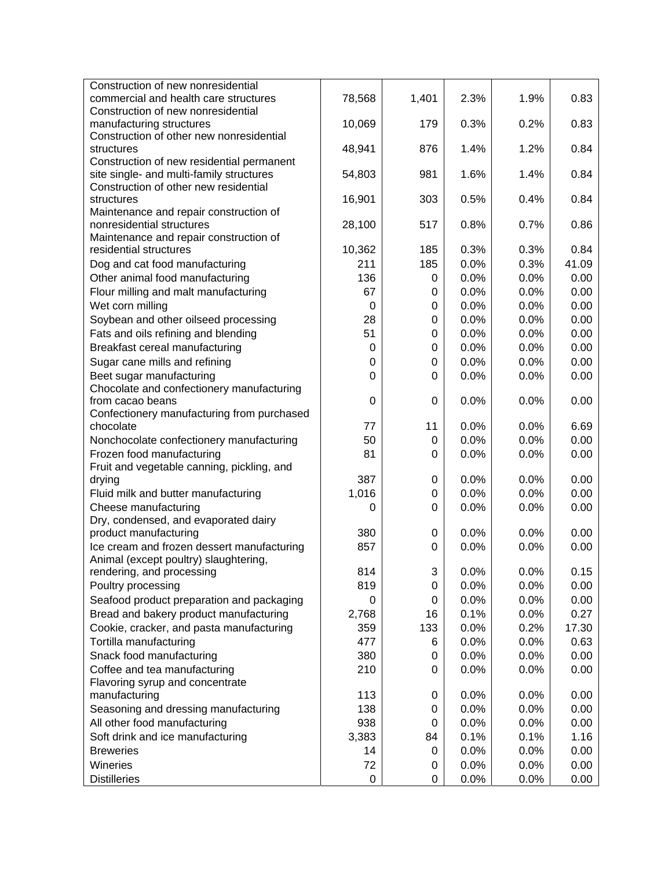| Construction of new nonresidential                                                |             |       |      |      |       |
|-----------------------------------------------------------------------------------|-------------|-------|------|------|-------|
| commercial and health care structures                                             | 78,568      | 1,401 | 2.3% | 1.9% | 0.83  |
| Construction of new nonresidential                                                |             |       |      |      |       |
| manufacturing structures                                                          | 10,069      | 179   | 0.3% | 0.2% | 0.83  |
| Construction of other new nonresidential                                          |             |       |      |      |       |
| structures                                                                        | 48,941      | 876   | 1.4% | 1.2% | 0.84  |
| Construction of new residential permanent                                         |             |       |      |      |       |
| site single- and multi-family structures<br>Construction of other new residential | 54,803      | 981   | 1.6% | 1.4% | 0.84  |
| structures                                                                        | 16,901      | 303   | 0.5% | 0.4% | 0.84  |
| Maintenance and repair construction of                                            |             |       |      |      |       |
| nonresidential structures                                                         | 28,100      | 517   | 0.8% | 0.7% | 0.86  |
| Maintenance and repair construction of                                            |             |       |      |      |       |
| residential structures                                                            | 10,362      | 185   | 0.3% | 0.3% | 0.84  |
| Dog and cat food manufacturing                                                    | 211         | 185   | 0.0% | 0.3% | 41.09 |
| Other animal food manufacturing                                                   | 136         | 0     | 0.0% | 0.0% | 0.00  |
| Flour milling and malt manufacturing                                              | 67          | 0     | 0.0% | 0.0% | 0.00  |
| Wet corn milling                                                                  | $\mathbf 0$ | 0     | 0.0% | 0.0% | 0.00  |
| Soybean and other oilseed processing                                              | 28          | 0     | 0.0% | 0.0% | 0.00  |
| Fats and oils refining and blending                                               | 51          | 0     | 0.0% | 0.0% | 0.00  |
| Breakfast cereal manufacturing                                                    | 0           | 0     | 0.0% | 0.0% | 0.00  |
| Sugar cane mills and refining                                                     | 0           | 0     | 0.0% | 0.0% | 0.00  |
| Beet sugar manufacturing                                                          | $\Omega$    | 0     | 0.0% | 0.0% | 0.00  |
| Chocolate and confectionery manufacturing                                         |             |       |      |      |       |
| from cacao beans                                                                  | $\Omega$    | 0     | 0.0% | 0.0% | 0.00  |
| Confectionery manufacturing from purchased                                        |             |       |      |      |       |
| chocolate                                                                         | 77          | 11    | 0.0% | 0.0% | 6.69  |
| Nonchocolate confectionery manufacturing                                          | 50          | 0     | 0.0% | 0.0% | 0.00  |
| Frozen food manufacturing                                                         | 81          | 0     | 0.0% | 0.0% | 0.00  |
| Fruit and vegetable canning, pickling, and                                        |             |       |      |      |       |
| drying                                                                            | 387         | 0     | 0.0% | 0.0% | 0.00  |
| Fluid milk and butter manufacturing                                               | 1,016       | 0     | 0.0% | 0.0% | 0.00  |
| Cheese manufacturing                                                              | 0           | 0     | 0.0% | 0.0% | 0.00  |
| Dry, condensed, and evaporated dairy                                              |             |       |      |      |       |
| product manufacturing                                                             | 380         | 0     | 0.0% | 0.0% | 0.00  |
| Ice cream and frozen dessert manufacturing                                        | 857         | 0     | 0.0% | 0.0% | 0.00  |
| Animal (except poultry) slaughtering,                                             | 814         | 3     | 0.0% | 0.0% | 0.15  |
| rendering, and processing<br>Poultry processing                                   | 819         | 0     | 0.0% | 0.0% | 0.00  |
| Seafood product preparation and packaging                                         | 0           | 0     | 0.0% | 0.0% | 0.00  |
| Bread and bakery product manufacturing                                            | 2,768       | 16    | 0.1% | 0.0% | 0.27  |
| Cookie, cracker, and pasta manufacturing                                          | 359         | 133   | 0.0% | 0.2% | 17.30 |
| Tortilla manufacturing                                                            | 477         |       | 0.0% | 0.0% | 0.63  |
| Snack food manufacturing                                                          | 380         | 6     | 0.0% | 0.0% | 0.00  |
| Coffee and tea manufacturing                                                      | 210         | 0     | 0.0% |      |       |
| Flavoring syrup and concentrate                                                   |             | 0     |      | 0.0% | 0.00  |
| manufacturing                                                                     | 113         | 0     | 0.0% | 0.0% | 0.00  |
| Seasoning and dressing manufacturing                                              | 138         | 0     | 0.0% | 0.0% | 0.00  |
| All other food manufacturing                                                      | 938         | 0     | 0.0% | 0.0% | 0.00  |
| Soft drink and ice manufacturing                                                  | 3,383       | 84    | 0.1% | 0.1% | 1.16  |
| <b>Breweries</b>                                                                  | 14          | 0     | 0.0% | 0.0% | 0.00  |
| Wineries                                                                          | 72          | 0     | 0.0% | 0.0% | 0.00  |
| <b>Distilleries</b>                                                               | 0           |       | 0.0% |      |       |
|                                                                                   |             | 0     |      | 0.0% | 0.00  |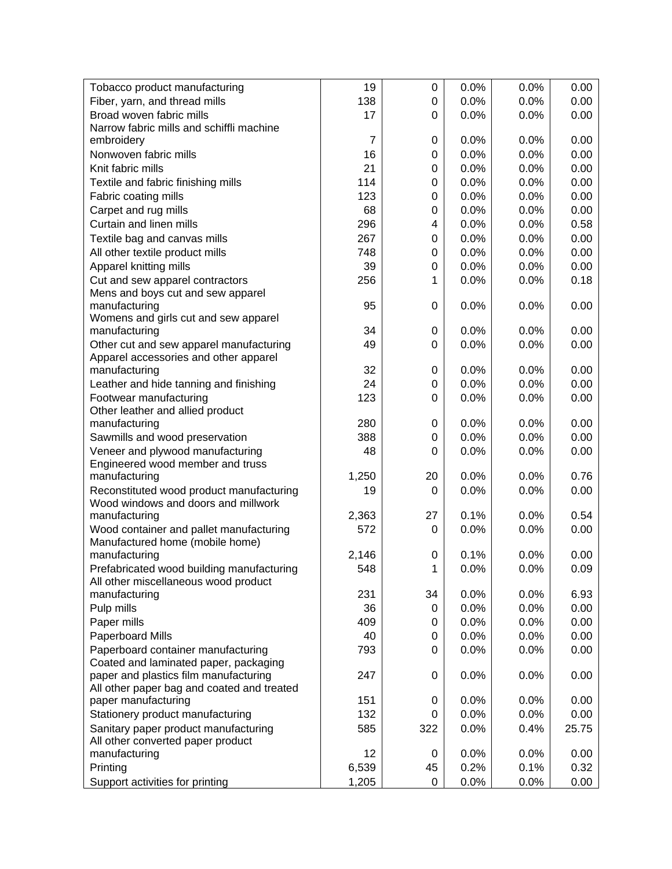| Tobacco product manufacturing                                                   | 19             | 0              | 0.0% | 0.0% | 0.00  |
|---------------------------------------------------------------------------------|----------------|----------------|------|------|-------|
| Fiber, yarn, and thread mills                                                   | 138            | 0              | 0.0% | 0.0% | 0.00  |
| Broad woven fabric mills                                                        | 17             | $\Omega$       | 0.0% | 0.0% | 0.00  |
| Narrow fabric mills and schiffli machine                                        |                |                |      |      |       |
| embroidery                                                                      | $\overline{7}$ | 0              | 0.0% | 0.0% | 0.00  |
| Nonwoven fabric mills                                                           | 16             | 0              | 0.0% | 0.0% | 0.00  |
| Knit fabric mills                                                               | 21             | 0              | 0.0% | 0.0% | 0.00  |
| Textile and fabric finishing mills                                              | 114            | 0              | 0.0% | 0.0% | 0.00  |
| Fabric coating mills                                                            | 123            | 0              | 0.0% | 0.0% | 0.00  |
| Carpet and rug mills                                                            | 68             | 0              | 0.0% | 0.0% | 0.00  |
| Curtain and linen mills                                                         | 296            | $\overline{4}$ | 0.0% | 0.0% | 0.58  |
| Textile bag and canvas mills                                                    | 267            | 0              | 0.0% | 0.0% | 0.00  |
| All other textile product mills                                                 | 748            | 0              | 0.0% | 0.0% | 0.00  |
| Apparel knitting mills                                                          | 39             | 0              | 0.0% | 0.0% | 0.00  |
| Cut and sew apparel contractors                                                 | 256            | 1              | 0.0% | 0.0% | 0.18  |
| Mens and boys cut and sew apparel                                               |                |                |      |      |       |
| manufacturing                                                                   | 95             | 0              | 0.0% | 0.0% | 0.00  |
| Womens and girls cut and sew apparel                                            |                |                |      |      |       |
| manufacturing                                                                   | 34             | 0              | 0.0% | 0.0% | 0.00  |
| Other cut and sew apparel manufacturing                                         | 49             | 0              | 0.0% | 0.0% | 0.00  |
| Apparel accessories and other apparel                                           |                |                |      |      |       |
| manufacturing                                                                   | 32             | 0              | 0.0% | 0.0% | 0.00  |
| Leather and hide tanning and finishing                                          | 24             | 0              | 0.0% | 0.0% | 0.00  |
| Footwear manufacturing                                                          | 123            | 0              | 0.0% | 0.0% | 0.00  |
| Other leather and allied product                                                |                |                |      |      |       |
| manufacturing                                                                   | 280            | 0              | 0.0% | 0.0% | 0.00  |
| Sawmills and wood preservation                                                  | 388            | 0              | 0.0% | 0.0% | 0.00  |
| Veneer and plywood manufacturing                                                | 48             | $\Omega$       | 0.0% | 0.0% | 0.00  |
| Engineered wood member and truss                                                |                |                |      |      |       |
| manufacturing                                                                   | 1,250          | 20             | 0.0% | 0.0% | 0.76  |
| Reconstituted wood product manufacturing<br>Wood windows and doors and millwork | 19             | 0              | 0.0% | 0.0% | 0.00  |
| manufacturing                                                                   | 2,363          | 27             | 0.1% | 0.0% | 0.54  |
| Wood container and pallet manufacturing                                         | 572            | 0              | 0.0% | 0.0% | 0.00  |
| Manufactured home (mobile home)                                                 |                |                |      |      |       |
| manufacturing                                                                   | 2,146          | 0              | 0.1% | 0.0% | 0.00  |
| Prefabricated wood building manufacturing                                       | 548            | 1              | 0.0% | 0.0% | 0.09  |
| All other miscellaneous wood product                                            |                |                |      |      |       |
| manufacturing                                                                   | 231            | 34             | 0.0% | 0.0% | 6.93  |
| Pulp mills                                                                      | 36             | 0              | 0.0% | 0.0% | 0.00  |
| Paper mills                                                                     | 409            | 0              | 0.0% | 0.0% | 0.00  |
| Paperboard Mills                                                                | 40             | 0              | 0.0% | 0.0% | 0.00  |
| Paperboard container manufacturing                                              | 793            | 0              | 0.0% | 0.0% | 0.00  |
| Coated and laminated paper, packaging                                           |                |                |      |      |       |
| paper and plastics film manufacturing                                           | 247            | 0              | 0.0% | 0.0% | 0.00  |
| All other paper bag and coated and treated                                      |                |                |      |      |       |
| paper manufacturing                                                             | 151            | 0              | 0.0% | 0.0% | 0.00  |
| Stationery product manufacturing                                                | 132            | 0              | 0.0% | 0.0% | 0.00  |
| Sanitary paper product manufacturing                                            | 585            | 322            | 0.0% | 0.4% | 25.75 |
| All other converted paper product                                               |                |                |      |      |       |
| manufacturing                                                                   | 12             | 0              | 0.0% | 0.0% | 0.00  |
| Printing                                                                        | 6,539          | 45             | 0.2% | 0.1% | 0.32  |
| Support activities for printing                                                 | 1,205          | 0              | 0.0% | 0.0% | 0.00  |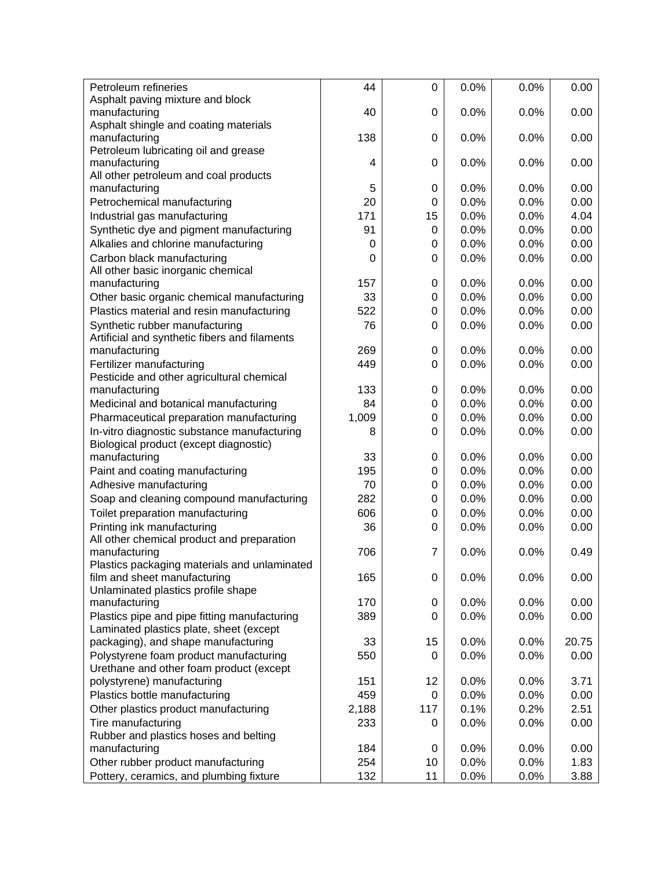| Petroleum refineries                          | 44       | $\mathbf 0$ | 0.0% | 0.0% | 0.00  |
|-----------------------------------------------|----------|-------------|------|------|-------|
| Asphalt paving mixture and block              |          |             |      |      |       |
| manufacturing                                 | 40       | $\Omega$    | 0.0% | 0.0% | 0.00  |
| Asphalt shingle and coating materials         |          |             |      |      |       |
| manufacturing                                 | 138      | $\Omega$    | 0.0% | 0.0% | 0.00  |
| Petroleum lubricating oil and grease          |          |             |      |      |       |
| manufacturing                                 | 4        | 0           | 0.0% | 0.0% | 0.00  |
| All other petroleum and coal products         |          |             |      |      |       |
| manufacturing                                 | 5        | 0           | 0.0% | 0.0% | 0.00  |
| Petrochemical manufacturing                   | 20       | 0           | 0.0% | 0.0% | 0.00  |
| Industrial gas manufacturing                  | 171      | 15          | 0.0% | 0.0% | 4.04  |
| Synthetic dye and pigment manufacturing       | 91       | 0           | 0.0% | 0.0% | 0.00  |
| Alkalies and chlorine manufacturing           | 0        | 0           | 0.0% | 0.0% | 0.00  |
| Carbon black manufacturing                    | $\Omega$ | $\Omega$    | 0.0% | 0.0% | 0.00  |
| All other basic inorganic chemical            |          |             |      |      |       |
| manufacturing                                 | 157      | 0           | 0.0% | 0.0% | 0.00  |
| Other basic organic chemical manufacturing    | 33       | 0           | 0.0% | 0.0% | 0.00  |
| Plastics material and resin manufacturing     | 522      | 0           | 0.0% | 0.0% | 0.00  |
| Synthetic rubber manufacturing                | 76       | $\Omega$    | 0.0% | 0.0% | 0.00  |
| Artificial and synthetic fibers and filaments |          |             |      |      |       |
| manufacturing                                 | 269      | 0           | 0.0% | 0.0% | 0.00  |
| Fertilizer manufacturing                      | 449      | $\Omega$    | 0.0% | 0.0% | 0.00  |
| Pesticide and other agricultural chemical     |          |             |      |      |       |
| manufacturing                                 | 133      | 0           | 0.0% | 0.0% | 0.00  |
| Medicinal and botanical manufacturing         | 84       | 0           | 0.0% | 0.0% | 0.00  |
| Pharmaceutical preparation manufacturing      | 1,009    | 0           | 0.0% | 0.0% | 0.00  |
| In-vitro diagnostic substance manufacturing   | 8        | $\Omega$    | 0.0% | 0.0% | 0.00  |
| Biological product (except diagnostic)        |          |             |      |      |       |
| manufacturing                                 | 33       | 0           | 0.0% | 0.0% | 0.00  |
| Paint and coating manufacturing               | 195      | 0           | 0.0% | 0.0% | 0.00  |
| Adhesive manufacturing                        | 70       | 0           | 0.0% | 0.0% | 0.00  |
| Soap and cleaning compound manufacturing      | 282      | 0           | 0.0% | 0.0% | 0.00  |
| Toilet preparation manufacturing              | 606      | 0           | 0.0% | 0.0% | 0.00  |
| Printing ink manufacturing                    | 36       | $\Omega$    | 0.0% | 0.0% | 0.00  |
| All other chemical product and preparation    |          |             |      |      |       |
| manufacturing                                 | 706      | 7           | 0.0% | 0.0% | 0.49  |
| Plastics packaging materials and unlaminated  |          |             |      |      |       |
| film and sheet manufacturing                  | 165      | 0           | 0.0% | 0.0% | 0.00  |
| Unlaminated plastics profile shape            |          |             |      |      |       |
| manufacturing                                 | 170      | $\mathbf 0$ | 0.0% | 0.0% | 0.00  |
| Plastics pipe and pipe fitting manufacturing  | 389      | 0           | 0.0% | 0.0% | 0.00  |
| Laminated plastics plate, sheet (except       |          |             |      |      |       |
| packaging), and shape manufacturing           | 33       | 15          | 0.0% | 0.0% | 20.75 |
| Polystyrene foam product manufacturing        | 550      | 0           | 0.0% | 0.0% | 0.00  |
| Urethane and other foam product (except       |          |             |      |      |       |
| polystyrene) manufacturing                    | 151      | 12          | 0.0% | 0.0% | 3.71  |
| Plastics bottle manufacturing                 | 459      | 0           | 0.0% | 0.0% | 0.00  |
| Other plastics product manufacturing          | 2,188    | 117         | 0.1% | 0.2% | 2.51  |
| Tire manufacturing                            | 233      | $\Omega$    | 0.0% | 0.0% | 0.00  |
| Rubber and plastics hoses and belting         |          |             |      |      |       |
| manufacturing                                 | 184      | 0           | 0.0% | 0.0% | 0.00  |
| Other rubber product manufacturing            | 254      | 10          | 0.0% | 0.0% | 1.83  |
| Pottery, ceramics, and plumbing fixture       | 132      | 11          | 0.0% | 0.0% | 3.88  |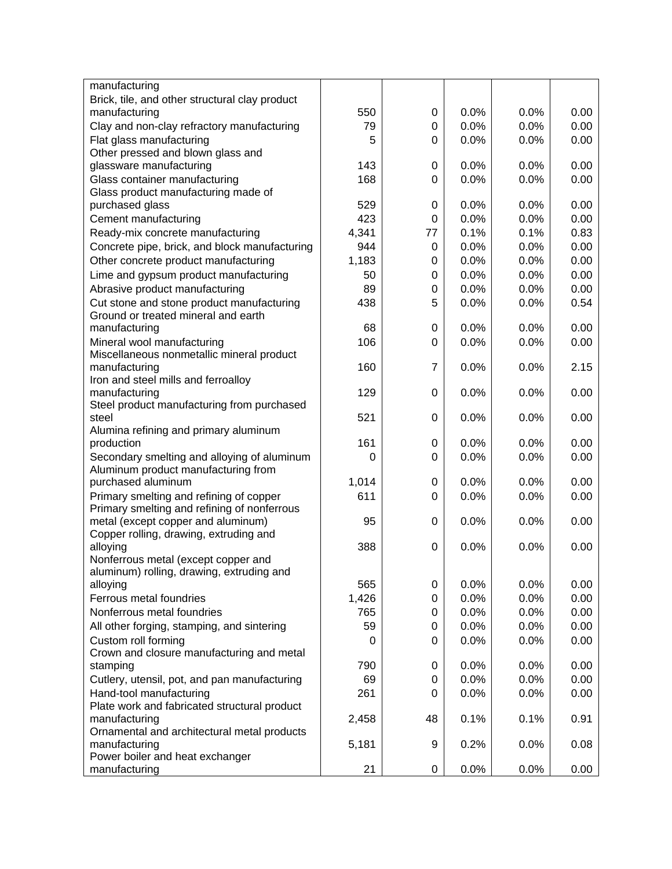| Brick, tile, and other structural clay product<br>manufacturing<br>550<br>0.0%<br>0.0%<br>0.00<br>0<br>Clay and non-clay refractory manufacturing<br>0.0%<br>0.0%<br>0.00<br>79<br>0<br>Flat glass manufacturing<br>5<br>0.0%<br>0.0%<br>0.00<br>0<br>Other pressed and blown glass and<br>143<br>0.0%<br>0.00<br>glassware manufacturing<br>0.0%<br>0<br>Glass container manufacturing<br>168<br>0.0%<br>0.0%<br>0.00<br>0<br>Glass product manufacturing made of<br>529<br>0.0%<br>purchased glass<br>0.0%<br>0.00<br>0<br>423<br>0.0%<br>0.0%<br>0.00<br>Cement manufacturing<br>0<br>Ready-mix concrete manufacturing<br>4,341<br>0.1%<br>0.1%<br>0.83<br>77<br>Concrete pipe, brick, and block manufacturing<br>944<br>0.0%<br>0.0%<br>0.00<br>0<br>1,183<br>Other concrete product manufacturing<br>0.0%<br>0.00<br>0<br>0.0%<br>Lime and gypsum product manufacturing<br>0.0%<br>0.0%<br>0.00<br>50<br>0 | manufacturing                  |    |   |      |      |      |
|-----------------------------------------------------------------------------------------------------------------------------------------------------------------------------------------------------------------------------------------------------------------------------------------------------------------------------------------------------------------------------------------------------------------------------------------------------------------------------------------------------------------------------------------------------------------------------------------------------------------------------------------------------------------------------------------------------------------------------------------------------------------------------------------------------------------------------------------------------------------------------------------------------------------|--------------------------------|----|---|------|------|------|
|                                                                                                                                                                                                                                                                                                                                                                                                                                                                                                                                                                                                                                                                                                                                                                                                                                                                                                                 |                                |    |   |      |      |      |
|                                                                                                                                                                                                                                                                                                                                                                                                                                                                                                                                                                                                                                                                                                                                                                                                                                                                                                                 |                                |    |   |      |      |      |
|                                                                                                                                                                                                                                                                                                                                                                                                                                                                                                                                                                                                                                                                                                                                                                                                                                                                                                                 |                                |    |   |      |      |      |
|                                                                                                                                                                                                                                                                                                                                                                                                                                                                                                                                                                                                                                                                                                                                                                                                                                                                                                                 |                                |    |   |      |      |      |
|                                                                                                                                                                                                                                                                                                                                                                                                                                                                                                                                                                                                                                                                                                                                                                                                                                                                                                                 |                                |    |   |      |      |      |
|                                                                                                                                                                                                                                                                                                                                                                                                                                                                                                                                                                                                                                                                                                                                                                                                                                                                                                                 |                                |    |   |      |      |      |
|                                                                                                                                                                                                                                                                                                                                                                                                                                                                                                                                                                                                                                                                                                                                                                                                                                                                                                                 |                                |    |   |      |      |      |
|                                                                                                                                                                                                                                                                                                                                                                                                                                                                                                                                                                                                                                                                                                                                                                                                                                                                                                                 |                                |    |   |      |      |      |
|                                                                                                                                                                                                                                                                                                                                                                                                                                                                                                                                                                                                                                                                                                                                                                                                                                                                                                                 |                                |    |   |      |      |      |
|                                                                                                                                                                                                                                                                                                                                                                                                                                                                                                                                                                                                                                                                                                                                                                                                                                                                                                                 |                                |    |   |      |      |      |
|                                                                                                                                                                                                                                                                                                                                                                                                                                                                                                                                                                                                                                                                                                                                                                                                                                                                                                                 |                                |    |   |      |      |      |
|                                                                                                                                                                                                                                                                                                                                                                                                                                                                                                                                                                                                                                                                                                                                                                                                                                                                                                                 |                                |    |   |      |      |      |
|                                                                                                                                                                                                                                                                                                                                                                                                                                                                                                                                                                                                                                                                                                                                                                                                                                                                                                                 |                                |    |   |      |      |      |
|                                                                                                                                                                                                                                                                                                                                                                                                                                                                                                                                                                                                                                                                                                                                                                                                                                                                                                                 |                                |    |   |      |      |      |
|                                                                                                                                                                                                                                                                                                                                                                                                                                                                                                                                                                                                                                                                                                                                                                                                                                                                                                                 | Abrasive product manufacturing | 89 | 0 | 0.0% | 0.0% | 0.00 |
| Cut stone and stone product manufacturing<br>438<br>5<br>0.0%<br>0.0%<br>0.54                                                                                                                                                                                                                                                                                                                                                                                                                                                                                                                                                                                                                                                                                                                                                                                                                                   |                                |    |   |      |      |      |
| Ground or treated mineral and earth                                                                                                                                                                                                                                                                                                                                                                                                                                                                                                                                                                                                                                                                                                                                                                                                                                                                             |                                |    |   |      |      |      |
| 0.0%<br>manufacturing<br>68<br>$\mathbf 0$<br>0.0%<br>0.00                                                                                                                                                                                                                                                                                                                                                                                                                                                                                                                                                                                                                                                                                                                                                                                                                                                      |                                |    |   |      |      |      |
| Mineral wool manufacturing<br>106<br>0.0%<br>0.0%<br>0.00<br>0                                                                                                                                                                                                                                                                                                                                                                                                                                                                                                                                                                                                                                                                                                                                                                                                                                                  |                                |    |   |      |      |      |
| Miscellaneous nonmetallic mineral product                                                                                                                                                                                                                                                                                                                                                                                                                                                                                                                                                                                                                                                                                                                                                                                                                                                                       |                                |    |   |      |      |      |
| 7<br>0.0%<br>manufacturing<br>160<br>0.0%<br>2.15                                                                                                                                                                                                                                                                                                                                                                                                                                                                                                                                                                                                                                                                                                                                                                                                                                                               |                                |    |   |      |      |      |
| Iron and steel mills and ferroalloy                                                                                                                                                                                                                                                                                                                                                                                                                                                                                                                                                                                                                                                                                                                                                                                                                                                                             |                                |    |   |      |      |      |
| 129<br>0.0%<br>0.00<br>manufacturing<br>0<br>0.0%                                                                                                                                                                                                                                                                                                                                                                                                                                                                                                                                                                                                                                                                                                                                                                                                                                                               |                                |    |   |      |      |      |
| Steel product manufacturing from purchased                                                                                                                                                                                                                                                                                                                                                                                                                                                                                                                                                                                                                                                                                                                                                                                                                                                                      |                                |    |   |      |      |      |
| 521<br>0.0%<br>0.0%<br>0.00<br>0<br>steel                                                                                                                                                                                                                                                                                                                                                                                                                                                                                                                                                                                                                                                                                                                                                                                                                                                                       |                                |    |   |      |      |      |
| Alumina refining and primary aluminum<br>161<br>0.0%<br>production<br>0.0%<br>0.00<br>0                                                                                                                                                                                                                                                                                                                                                                                                                                                                                                                                                                                                                                                                                                                                                                                                                         |                                |    |   |      |      |      |
| Secondary smelting and alloying of aluminum<br>0.0%<br>0.0%<br>0.00<br>$\Omega$<br>0                                                                                                                                                                                                                                                                                                                                                                                                                                                                                                                                                                                                                                                                                                                                                                                                                            |                                |    |   |      |      |      |
| Aluminum product manufacturing from                                                                                                                                                                                                                                                                                                                                                                                                                                                                                                                                                                                                                                                                                                                                                                                                                                                                             |                                |    |   |      |      |      |
| 1,014<br>0.0%<br>purchased aluminum<br>0.0%<br>0.00<br>0                                                                                                                                                                                                                                                                                                                                                                                                                                                                                                                                                                                                                                                                                                                                                                                                                                                        |                                |    |   |      |      |      |
| Primary smelting and refining of copper<br>611<br>0.0%<br>0.0%<br>0.00<br>0                                                                                                                                                                                                                                                                                                                                                                                                                                                                                                                                                                                                                                                                                                                                                                                                                                     |                                |    |   |      |      |      |
| Primary smelting and refining of nonferrous                                                                                                                                                                                                                                                                                                                                                                                                                                                                                                                                                                                                                                                                                                                                                                                                                                                                     |                                |    |   |      |      |      |
| metal (except copper and aluminum)<br>95<br>0.0%<br>0.0%<br>0.00<br>0                                                                                                                                                                                                                                                                                                                                                                                                                                                                                                                                                                                                                                                                                                                                                                                                                                           |                                |    |   |      |      |      |
| Copper rolling, drawing, extruding and                                                                                                                                                                                                                                                                                                                                                                                                                                                                                                                                                                                                                                                                                                                                                                                                                                                                          |                                |    |   |      |      |      |
| 388<br>0.0%<br>0.00<br>alloying<br>0<br>0.0%                                                                                                                                                                                                                                                                                                                                                                                                                                                                                                                                                                                                                                                                                                                                                                                                                                                                    |                                |    |   |      |      |      |
| Nonferrous metal (except copper and                                                                                                                                                                                                                                                                                                                                                                                                                                                                                                                                                                                                                                                                                                                                                                                                                                                                             |                                |    |   |      |      |      |
| aluminum) rolling, drawing, extruding and                                                                                                                                                                                                                                                                                                                                                                                                                                                                                                                                                                                                                                                                                                                                                                                                                                                                       |                                |    |   |      |      |      |
| 565<br>0.0%<br>0.0%<br>0.00<br>alloying<br>0                                                                                                                                                                                                                                                                                                                                                                                                                                                                                                                                                                                                                                                                                                                                                                                                                                                                    |                                |    |   |      |      |      |
| Ferrous metal foundries<br>1,426<br>0.0%<br>0.00<br>0.0%<br>0                                                                                                                                                                                                                                                                                                                                                                                                                                                                                                                                                                                                                                                                                                                                                                                                                                                   |                                |    |   |      |      |      |
| Nonferrous metal foundries<br>765<br>0.0%<br>0.00<br>0.0%<br>0                                                                                                                                                                                                                                                                                                                                                                                                                                                                                                                                                                                                                                                                                                                                                                                                                                                  |                                |    |   |      |      |      |
| 59<br>0.0%<br>0.0%<br>0.00<br>All other forging, stamping, and sintering<br>0                                                                                                                                                                                                                                                                                                                                                                                                                                                                                                                                                                                                                                                                                                                                                                                                                                   |                                |    |   |      |      |      |
| Custom roll forming<br>0.0%<br>0.00<br>0.0%<br>0<br>0                                                                                                                                                                                                                                                                                                                                                                                                                                                                                                                                                                                                                                                                                                                                                                                                                                                           |                                |    |   |      |      |      |
| Crown and closure manufacturing and metal                                                                                                                                                                                                                                                                                                                                                                                                                                                                                                                                                                                                                                                                                                                                                                                                                                                                       |                                |    |   |      |      |      |
| 790<br>0.0%<br>0.00<br>0.0%<br>stamping<br>0                                                                                                                                                                                                                                                                                                                                                                                                                                                                                                                                                                                                                                                                                                                                                                                                                                                                    |                                |    |   |      |      |      |
| 0.0%<br>0.0%<br>0.00<br>Cutlery, utensil, pot, and pan manufacturing<br>69<br>0                                                                                                                                                                                                                                                                                                                                                                                                                                                                                                                                                                                                                                                                                                                                                                                                                                 |                                |    |   |      |      |      |
| Hand-tool manufacturing<br>0.0%<br>0.0%<br>0.00<br>261<br>0                                                                                                                                                                                                                                                                                                                                                                                                                                                                                                                                                                                                                                                                                                                                                                                                                                                     |                                |    |   |      |      |      |
| Plate work and fabricated structural product                                                                                                                                                                                                                                                                                                                                                                                                                                                                                                                                                                                                                                                                                                                                                                                                                                                                    |                                |    |   |      |      |      |
| 2,458<br>48<br>0.1%<br>0.91<br>manufacturing<br>0.1%                                                                                                                                                                                                                                                                                                                                                                                                                                                                                                                                                                                                                                                                                                                                                                                                                                                            |                                |    |   |      |      |      |
| Ornamental and architectural metal products                                                                                                                                                                                                                                                                                                                                                                                                                                                                                                                                                                                                                                                                                                                                                                                                                                                                     |                                |    |   |      |      |      |
| 5,181<br>0.2%<br>manufacturing<br>0.0%<br>0.08<br>9<br>Power boiler and heat exchanger                                                                                                                                                                                                                                                                                                                                                                                                                                                                                                                                                                                                                                                                                                                                                                                                                          |                                |    |   |      |      |      |
| 0.0%<br>manufacturing<br>21<br>0<br>0.0%<br>0.00                                                                                                                                                                                                                                                                                                                                                                                                                                                                                                                                                                                                                                                                                                                                                                                                                                                                |                                |    |   |      |      |      |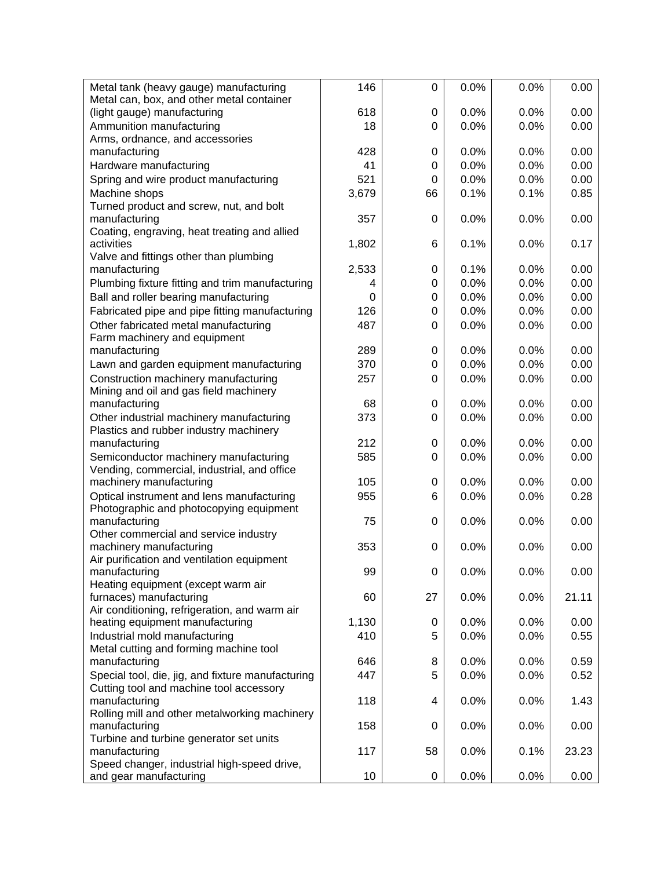| Metal can, box, and other metal container<br>0.0%<br>0.00<br>(light gauge) manufacturing<br>618<br>0.0%<br>0<br>0.00<br>Ammunition manufacturing<br>18<br>0.0%<br>0.0%<br>0<br>Arms, ordnance, and accessories<br>428<br>0.0%<br>manufacturing<br>0<br>0.0%<br>0.00<br>41<br>0.0%<br>0.0%<br>0.00<br>Hardware manufacturing<br>$\Omega$<br>521<br>Spring and wire product manufacturing<br>0.0%<br>0.0%<br>0.00<br>0<br>Machine shops<br>3,679<br>0.1%<br>0.1%<br>0.85<br>66<br>Turned product and screw, nut, and bolt<br>357<br>0.0%<br>0.00<br>manufacturing<br>0<br>0.0%<br>Coating, engraving, heat treating and allied<br>activities<br>0.1%<br>0.17<br>1,802<br>6<br>0.0%<br>Valve and fittings other than plumbing<br>0.1%<br>manufacturing<br>2,533<br>$\mathbf 0$<br>0.0%<br>0.00<br>Plumbing fixture fitting and trim manufacturing<br>0.0%<br>0.00<br>0<br>0.0%<br>4<br>Ball and roller bearing manufacturing<br>0.0%<br>0.0%<br>0.00<br>0<br>0<br>Fabricated pipe and pipe fitting manufacturing<br>126<br>0.0%<br>0.0%<br>0.00<br>0<br>Other fabricated metal manufacturing<br>487<br>0.0%<br>0.0%<br>0.00<br>$\Omega$<br>Farm machinery and equipment<br>0.0%<br>0.00<br>manufacturing<br>289<br>0.0%<br>0<br>370<br>0.0%<br>0.0%<br>0.00<br>Lawn and garden equipment manufacturing<br>0<br>0.00<br>Construction machinery manufacturing<br>0.0%<br>0.0%<br>257<br>$\Omega$<br>Mining and oil and gas field machinery |
|---------------------------------------------------------------------------------------------------------------------------------------------------------------------------------------------------------------------------------------------------------------------------------------------------------------------------------------------------------------------------------------------------------------------------------------------------------------------------------------------------------------------------------------------------------------------------------------------------------------------------------------------------------------------------------------------------------------------------------------------------------------------------------------------------------------------------------------------------------------------------------------------------------------------------------------------------------------------------------------------------------------------------------------------------------------------------------------------------------------------------------------------------------------------------------------------------------------------------------------------------------------------------------------------------------------------------------------------------------------------------------------------------------------------------------------|
|                                                                                                                                                                                                                                                                                                                                                                                                                                                                                                                                                                                                                                                                                                                                                                                                                                                                                                                                                                                                                                                                                                                                                                                                                                                                                                                                                                                                                                       |
|                                                                                                                                                                                                                                                                                                                                                                                                                                                                                                                                                                                                                                                                                                                                                                                                                                                                                                                                                                                                                                                                                                                                                                                                                                                                                                                                                                                                                                       |
|                                                                                                                                                                                                                                                                                                                                                                                                                                                                                                                                                                                                                                                                                                                                                                                                                                                                                                                                                                                                                                                                                                                                                                                                                                                                                                                                                                                                                                       |
|                                                                                                                                                                                                                                                                                                                                                                                                                                                                                                                                                                                                                                                                                                                                                                                                                                                                                                                                                                                                                                                                                                                                                                                                                                                                                                                                                                                                                                       |
|                                                                                                                                                                                                                                                                                                                                                                                                                                                                                                                                                                                                                                                                                                                                                                                                                                                                                                                                                                                                                                                                                                                                                                                                                                                                                                                                                                                                                                       |
|                                                                                                                                                                                                                                                                                                                                                                                                                                                                                                                                                                                                                                                                                                                                                                                                                                                                                                                                                                                                                                                                                                                                                                                                                                                                                                                                                                                                                                       |
|                                                                                                                                                                                                                                                                                                                                                                                                                                                                                                                                                                                                                                                                                                                                                                                                                                                                                                                                                                                                                                                                                                                                                                                                                                                                                                                                                                                                                                       |
|                                                                                                                                                                                                                                                                                                                                                                                                                                                                                                                                                                                                                                                                                                                                                                                                                                                                                                                                                                                                                                                                                                                                                                                                                                                                                                                                                                                                                                       |
|                                                                                                                                                                                                                                                                                                                                                                                                                                                                                                                                                                                                                                                                                                                                                                                                                                                                                                                                                                                                                                                                                                                                                                                                                                                                                                                                                                                                                                       |
|                                                                                                                                                                                                                                                                                                                                                                                                                                                                                                                                                                                                                                                                                                                                                                                                                                                                                                                                                                                                                                                                                                                                                                                                                                                                                                                                                                                                                                       |
|                                                                                                                                                                                                                                                                                                                                                                                                                                                                                                                                                                                                                                                                                                                                                                                                                                                                                                                                                                                                                                                                                                                                                                                                                                                                                                                                                                                                                                       |
|                                                                                                                                                                                                                                                                                                                                                                                                                                                                                                                                                                                                                                                                                                                                                                                                                                                                                                                                                                                                                                                                                                                                                                                                                                                                                                                                                                                                                                       |
|                                                                                                                                                                                                                                                                                                                                                                                                                                                                                                                                                                                                                                                                                                                                                                                                                                                                                                                                                                                                                                                                                                                                                                                                                                                                                                                                                                                                                                       |
|                                                                                                                                                                                                                                                                                                                                                                                                                                                                                                                                                                                                                                                                                                                                                                                                                                                                                                                                                                                                                                                                                                                                                                                                                                                                                                                                                                                                                                       |
|                                                                                                                                                                                                                                                                                                                                                                                                                                                                                                                                                                                                                                                                                                                                                                                                                                                                                                                                                                                                                                                                                                                                                                                                                                                                                                                                                                                                                                       |
|                                                                                                                                                                                                                                                                                                                                                                                                                                                                                                                                                                                                                                                                                                                                                                                                                                                                                                                                                                                                                                                                                                                                                                                                                                                                                                                                                                                                                                       |
|                                                                                                                                                                                                                                                                                                                                                                                                                                                                                                                                                                                                                                                                                                                                                                                                                                                                                                                                                                                                                                                                                                                                                                                                                                                                                                                                                                                                                                       |
|                                                                                                                                                                                                                                                                                                                                                                                                                                                                                                                                                                                                                                                                                                                                                                                                                                                                                                                                                                                                                                                                                                                                                                                                                                                                                                                                                                                                                                       |
|                                                                                                                                                                                                                                                                                                                                                                                                                                                                                                                                                                                                                                                                                                                                                                                                                                                                                                                                                                                                                                                                                                                                                                                                                                                                                                                                                                                                                                       |
|                                                                                                                                                                                                                                                                                                                                                                                                                                                                                                                                                                                                                                                                                                                                                                                                                                                                                                                                                                                                                                                                                                                                                                                                                                                                                                                                                                                                                                       |
|                                                                                                                                                                                                                                                                                                                                                                                                                                                                                                                                                                                                                                                                                                                                                                                                                                                                                                                                                                                                                                                                                                                                                                                                                                                                                                                                                                                                                                       |
|                                                                                                                                                                                                                                                                                                                                                                                                                                                                                                                                                                                                                                                                                                                                                                                                                                                                                                                                                                                                                                                                                                                                                                                                                                                                                                                                                                                                                                       |
|                                                                                                                                                                                                                                                                                                                                                                                                                                                                                                                                                                                                                                                                                                                                                                                                                                                                                                                                                                                                                                                                                                                                                                                                                                                                                                                                                                                                                                       |
| 0.0%<br>0.00<br>manufacturing<br>68<br>0<br>0.0%                                                                                                                                                                                                                                                                                                                                                                                                                                                                                                                                                                                                                                                                                                                                                                                                                                                                                                                                                                                                                                                                                                                                                                                                                                                                                                                                                                                      |
| Other industrial machinery manufacturing<br>373<br>0.0%<br>0.00<br>$\Omega$<br>0.0%                                                                                                                                                                                                                                                                                                                                                                                                                                                                                                                                                                                                                                                                                                                                                                                                                                                                                                                                                                                                                                                                                                                                                                                                                                                                                                                                                   |
| Plastics and rubber industry machinery                                                                                                                                                                                                                                                                                                                                                                                                                                                                                                                                                                                                                                                                                                                                                                                                                                                                                                                                                                                                                                                                                                                                                                                                                                                                                                                                                                                                |
| 0.0%<br>0.00<br>manufacturing<br>212<br>0<br>0.0%                                                                                                                                                                                                                                                                                                                                                                                                                                                                                                                                                                                                                                                                                                                                                                                                                                                                                                                                                                                                                                                                                                                                                                                                                                                                                                                                                                                     |
| Semiconductor machinery manufacturing<br>585<br>0.0%<br>0.0%<br>0.00<br>$\Omega$                                                                                                                                                                                                                                                                                                                                                                                                                                                                                                                                                                                                                                                                                                                                                                                                                                                                                                                                                                                                                                                                                                                                                                                                                                                                                                                                                      |
| Vending, commercial, industrial, and office                                                                                                                                                                                                                                                                                                                                                                                                                                                                                                                                                                                                                                                                                                                                                                                                                                                                                                                                                                                                                                                                                                                                                                                                                                                                                                                                                                                           |
| 0.0%<br>0.00<br>machinery manufacturing<br>105<br>0.0%<br>0                                                                                                                                                                                                                                                                                                                                                                                                                                                                                                                                                                                                                                                                                                                                                                                                                                                                                                                                                                                                                                                                                                                                                                                                                                                                                                                                                                           |
| Optical instrument and lens manufacturing<br>955<br>0.0%<br>0.0%<br>0.28<br>6                                                                                                                                                                                                                                                                                                                                                                                                                                                                                                                                                                                                                                                                                                                                                                                                                                                                                                                                                                                                                                                                                                                                                                                                                                                                                                                                                         |
| Photographic and photocopying equipment                                                                                                                                                                                                                                                                                                                                                                                                                                                                                                                                                                                                                                                                                                                                                                                                                                                                                                                                                                                                                                                                                                                                                                                                                                                                                                                                                                                               |
| 75<br>0.0%<br>0.00<br>manufacturing<br>0.0%<br>0                                                                                                                                                                                                                                                                                                                                                                                                                                                                                                                                                                                                                                                                                                                                                                                                                                                                                                                                                                                                                                                                                                                                                                                                                                                                                                                                                                                      |
| Other commercial and service industry                                                                                                                                                                                                                                                                                                                                                                                                                                                                                                                                                                                                                                                                                                                                                                                                                                                                                                                                                                                                                                                                                                                                                                                                                                                                                                                                                                                                 |
| 0.00<br>machinery manufacturing<br>353<br>0.0%<br>0.0%<br>0                                                                                                                                                                                                                                                                                                                                                                                                                                                                                                                                                                                                                                                                                                                                                                                                                                                                                                                                                                                                                                                                                                                                                                                                                                                                                                                                                                           |
| Air purification and ventilation equipment                                                                                                                                                                                                                                                                                                                                                                                                                                                                                                                                                                                                                                                                                                                                                                                                                                                                                                                                                                                                                                                                                                                                                                                                                                                                                                                                                                                            |
| 99<br>0.0%<br>0.0%<br>0.00<br>manufacturing<br>0                                                                                                                                                                                                                                                                                                                                                                                                                                                                                                                                                                                                                                                                                                                                                                                                                                                                                                                                                                                                                                                                                                                                                                                                                                                                                                                                                                                      |
| Heating equipment (except warm air                                                                                                                                                                                                                                                                                                                                                                                                                                                                                                                                                                                                                                                                                                                                                                                                                                                                                                                                                                                                                                                                                                                                                                                                                                                                                                                                                                                                    |
| furnaces) manufacturing<br>60<br>27<br>21.11<br>0.0%<br>0.0%                                                                                                                                                                                                                                                                                                                                                                                                                                                                                                                                                                                                                                                                                                                                                                                                                                                                                                                                                                                                                                                                                                                                                                                                                                                                                                                                                                          |
| Air conditioning, refrigeration, and warm air                                                                                                                                                                                                                                                                                                                                                                                                                                                                                                                                                                                                                                                                                                                                                                                                                                                                                                                                                                                                                                                                                                                                                                                                                                                                                                                                                                                         |
| heating equipment manufacturing<br>1,130<br>0.0%<br>0.0%<br>0.00<br>0                                                                                                                                                                                                                                                                                                                                                                                                                                                                                                                                                                                                                                                                                                                                                                                                                                                                                                                                                                                                                                                                                                                                                                                                                                                                                                                                                                 |
| Industrial mold manufacturing<br>5<br>0.0%<br>0.0%<br>0.55<br>410                                                                                                                                                                                                                                                                                                                                                                                                                                                                                                                                                                                                                                                                                                                                                                                                                                                                                                                                                                                                                                                                                                                                                                                                                                                                                                                                                                     |
| Metal cutting and forming machine tool                                                                                                                                                                                                                                                                                                                                                                                                                                                                                                                                                                                                                                                                                                                                                                                                                                                                                                                                                                                                                                                                                                                                                                                                                                                                                                                                                                                                |
| manufacturing<br>0.0%<br>0.59<br>646<br>8<br>0.0%                                                                                                                                                                                                                                                                                                                                                                                                                                                                                                                                                                                                                                                                                                                                                                                                                                                                                                                                                                                                                                                                                                                                                                                                                                                                                                                                                                                     |
| Special tool, die, jig, and fixture manufacturing<br>447<br>5<br>0.0%<br>0.0%<br>0.52                                                                                                                                                                                                                                                                                                                                                                                                                                                                                                                                                                                                                                                                                                                                                                                                                                                                                                                                                                                                                                                                                                                                                                                                                                                                                                                                                 |
| Cutting tool and machine tool accessory                                                                                                                                                                                                                                                                                                                                                                                                                                                                                                                                                                                                                                                                                                                                                                                                                                                                                                                                                                                                                                                                                                                                                                                                                                                                                                                                                                                               |
| manufacturing<br>118<br>4<br>0.0%<br>0.0%<br>1.43                                                                                                                                                                                                                                                                                                                                                                                                                                                                                                                                                                                                                                                                                                                                                                                                                                                                                                                                                                                                                                                                                                                                                                                                                                                                                                                                                                                     |
| Rolling mill and other metalworking machinery                                                                                                                                                                                                                                                                                                                                                                                                                                                                                                                                                                                                                                                                                                                                                                                                                                                                                                                                                                                                                                                                                                                                                                                                                                                                                                                                                                                         |
| manufacturing<br>158<br>0.0%<br>0.00<br>0<br>0.0%<br>Turbine and turbine generator set units                                                                                                                                                                                                                                                                                                                                                                                                                                                                                                                                                                                                                                                                                                                                                                                                                                                                                                                                                                                                                                                                                                                                                                                                                                                                                                                                          |
| manufacturing<br>117<br>58<br>0.0%<br>0.1%<br>23.23                                                                                                                                                                                                                                                                                                                                                                                                                                                                                                                                                                                                                                                                                                                                                                                                                                                                                                                                                                                                                                                                                                                                                                                                                                                                                                                                                                                   |
| Speed changer, industrial high-speed drive,                                                                                                                                                                                                                                                                                                                                                                                                                                                                                                                                                                                                                                                                                                                                                                                                                                                                                                                                                                                                                                                                                                                                                                                                                                                                                                                                                                                           |
| 10<br>and gear manufacturing<br>0<br>0.0%<br>0.0%<br>0.00                                                                                                                                                                                                                                                                                                                                                                                                                                                                                                                                                                                                                                                                                                                                                                                                                                                                                                                                                                                                                                                                                                                                                                                                                                                                                                                                                                             |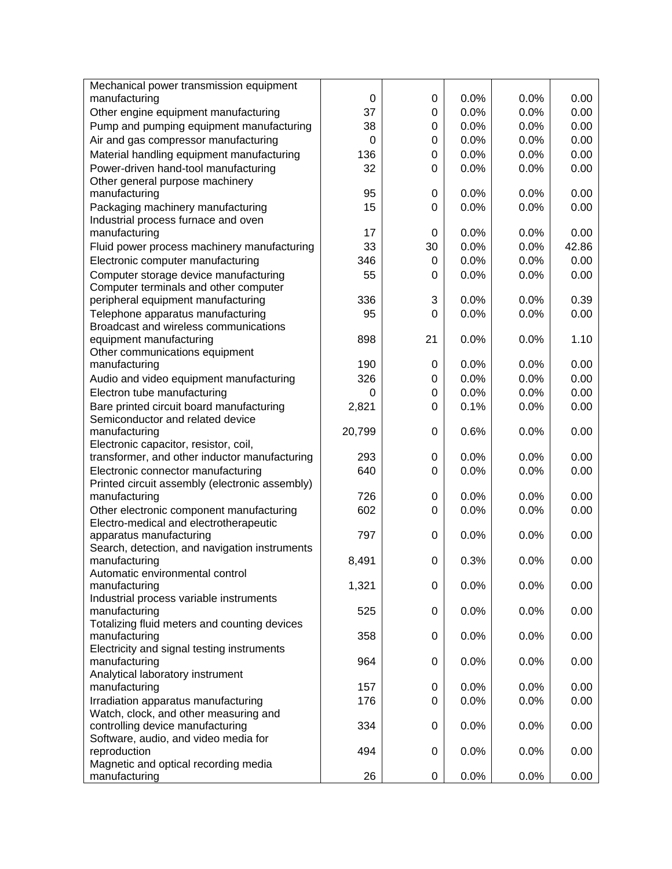| Mechanical power transmission equipment              |          |             |      |      |       |
|------------------------------------------------------|----------|-------------|------|------|-------|
| manufacturing                                        | 0        | 0           | 0.0% | 0.0% | 0.00  |
| Other engine equipment manufacturing                 | 37       | 0           | 0.0% | 0.0% | 0.00  |
| Pump and pumping equipment manufacturing             | 38       | 0           | 0.0% | 0.0% | 0.00  |
| Air and gas compressor manufacturing                 | $\Omega$ | 0           | 0.0% | 0.0% | 0.00  |
| Material handling equipment manufacturing            | 136      | 0           | 0.0% | 0.0% | 0.00  |
| Power-driven hand-tool manufacturing                 | 32       | 0           | 0.0% | 0.0% | 0.00  |
| Other general purpose machinery                      |          |             |      |      |       |
| manufacturing                                        | 95       | 0           | 0.0% | 0.0% | 0.00  |
| Packaging machinery manufacturing                    | 15       | 0           | 0.0% | 0.0% | 0.00  |
| Industrial process furnace and oven                  |          |             |      |      |       |
| manufacturing                                        | 17       | $\mathbf 0$ | 0.0% | 0.0% | 0.00  |
| Fluid power process machinery manufacturing          | 33       | 30          | 0.0% | 0.0% | 42.86 |
| Electronic computer manufacturing                    | 346      | 0           | 0.0% | 0.0% | 0.00  |
| Computer storage device manufacturing                | 55       | 0           | 0.0% | 0.0% | 0.00  |
| Computer terminals and other computer                |          |             |      |      |       |
| peripheral equipment manufacturing                   | 336      | 3           | 0.0% | 0.0% | 0.39  |
| Telephone apparatus manufacturing                    | 95       | 0           | 0.0% | 0.0% | 0.00  |
| Broadcast and wireless communications                |          |             |      |      |       |
| equipment manufacturing                              | 898      | 21          | 0.0% | 0.0% | 1.10  |
| Other communications equipment                       |          |             |      |      |       |
| manufacturing                                        | 190      | 0           | 0.0% | 0.0% | 0.00  |
| Audio and video equipment manufacturing              | 326      | 0           | 0.0% | 0.0% | 0.00  |
| Electron tube manufacturing                          | $\Omega$ | 0           | 0.0% | 0.0% | 0.00  |
| Bare printed circuit board manufacturing             | 2,821    | 0           | 0.1% | 0.0% | 0.00  |
| Semiconductor and related device                     |          |             |      |      |       |
| manufacturing                                        | 20,799   | 0           | 0.6% | 0.0% | 0.00  |
| Electronic capacitor, resistor, coil,                |          |             |      |      |       |
| transformer, and other inductor manufacturing        | 293      | 0           | 0.0% | 0.0% | 0.00  |
| Electronic connector manufacturing                   | 640      | 0           | 0.0% | 0.0% | 0.00  |
| Printed circuit assembly (electronic assembly)       |          |             |      |      |       |
| manufacturing                                        | 726      | 0           | 0.0% | 0.0% | 0.00  |
| Other electronic component manufacturing             | 602      | 0           | 0.0% | 0.0% | 0.00  |
| Electro-medical and electrotherapeutic               |          |             |      |      |       |
| apparatus manufacturing                              | 797      | 0           | 0.0% | 0.0% | 0.00  |
| Search, detection, and navigation instruments        |          |             |      |      |       |
| manufacturing                                        | 8,491    | 0           | 0.3% | 0.0% | 0.00  |
| Automatic environmental control                      |          |             |      |      |       |
| manufacturing                                        | 1,321    | 0           | 0.0% | 0.0% | 0.00  |
| Industrial process variable instruments              |          |             |      |      |       |
| manufacturing                                        | 525      | 0           | 0.0% | 0.0% | 0.00  |
| Totalizing fluid meters and counting devices         |          |             |      |      |       |
| manufacturing                                        | 358      | $\mathbf 0$ | 0.0% | 0.0% | 0.00  |
| Electricity and signal testing instruments           |          |             |      |      |       |
| manufacturing                                        | 964      | 0           | 0.0% | 0.0% | 0.00  |
| Analytical laboratory instrument                     |          |             |      |      |       |
| manufacturing                                        | 157      | 0           | 0.0% | 0.0% | 0.00  |
| Irradiation apparatus manufacturing                  | 176      | $\Omega$    | 0.0% | 0.0% | 0.00  |
| Watch, clock, and other measuring and                |          |             |      |      |       |
| controlling device manufacturing                     | 334      | 0           | 0.0% | 0.0% | 0.00  |
| Software, audio, and video media for                 | 494      | 0           | 0.0% |      |       |
| reproduction<br>Magnetic and optical recording media |          |             |      | 0.0% | 0.00  |
| manufacturing                                        | 26       | 0           | 0.0% | 0.0% | 0.00  |
|                                                      |          |             |      |      |       |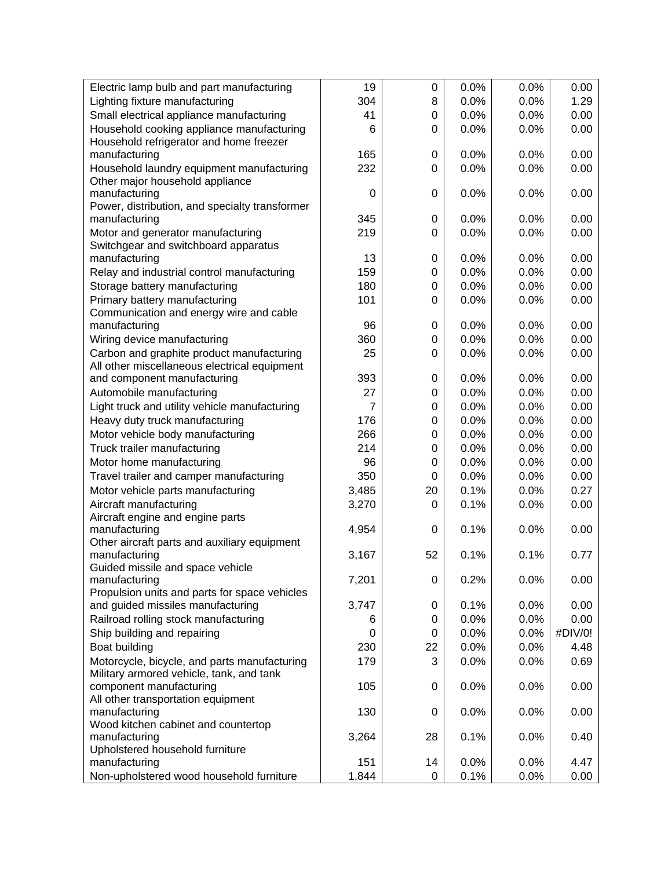| Electric lamp bulb and part manufacturing        | 19             | 0  | 0.0% | 0.0% | 0.00    |
|--------------------------------------------------|----------------|----|------|------|---------|
| Lighting fixture manufacturing                   | 304            | 8  | 0.0% | 0.0% | 1.29    |
| Small electrical appliance manufacturing         | 41             | 0  | 0.0% | 0.0% | 0.00    |
| Household cooking appliance manufacturing        | 6              | 0  | 0.0% | 0.0% | 0.00    |
| Household refrigerator and home freezer          |                |    |      |      |         |
| manufacturing                                    | 165            | 0  | 0.0% | 0.0% | 0.00    |
| Household laundry equipment manufacturing        | 232            | 0  | 0.0% | 0.0% | 0.00    |
| Other major household appliance                  |                |    |      |      |         |
| manufacturing                                    | $\Omega$       | 0  | 0.0% | 0.0% | 0.00    |
| Power, distribution, and specialty transformer   |                |    |      |      |         |
| manufacturing                                    | 345            | 0  | 0.0% | 0.0% | 0.00    |
| Motor and generator manufacturing                | 219            | 0  | 0.0% | 0.0% | 0.00    |
| Switchgear and switchboard apparatus             |                |    |      |      |         |
| manufacturing                                    | 13             | 0  | 0.0% | 0.0% | 0.00    |
| Relay and industrial control manufacturing       | 159            | 0  | 0.0% | 0.0% | 0.00    |
| Storage battery manufacturing                    | 180            | 0  | 0.0% | 0.0% | 0.00    |
| Primary battery manufacturing                    | 101            | 0  | 0.0% | 0.0% | 0.00    |
| Communication and energy wire and cable          |                |    |      |      |         |
| manufacturing                                    | 96             | 0  | 0.0% | 0.0% | 0.00    |
| Wiring device manufacturing                      | 360            | 0  | 0.0% | 0.0% | 0.00    |
| Carbon and graphite product manufacturing        | 25             | 0  | 0.0% | 0.0% | 0.00    |
| All other miscellaneous electrical equipment     |                |    |      |      |         |
| and component manufacturing                      | 393            | 0  | 0.0% | 0.0% | 0.00    |
| Automobile manufacturing                         | 27             | 0  | 0.0% | 0.0% | 0.00    |
| Light truck and utility vehicle manufacturing    | $\overline{7}$ | 0  | 0.0% | 0.0% | 0.00    |
| Heavy duty truck manufacturing                   | 176            | 0  | 0.0% | 0.0% | 0.00    |
| Motor vehicle body manufacturing                 | 266            | 0  | 0.0% | 0.0% | 0.00    |
| Truck trailer manufacturing                      | 214            | 0  | 0.0% | 0.0% | 0.00    |
| Motor home manufacturing                         | 96             | 0  | 0.0% | 0.0% | 0.00    |
| Travel trailer and camper manufacturing          | 350            | 0  | 0.0% | 0.0% | 0.00    |
| Motor vehicle parts manufacturing                | 3,485          | 20 | 0.1% | 0.0% | 0.27    |
| Aircraft manufacturing                           | 3,270          | 0  | 0.1% | 0.0% | 0.00    |
| Aircraft engine and engine parts                 |                |    |      |      |         |
| manufacturing                                    | 4,954          | 0  | 0.1% | 0.0% | 0.00    |
| Other aircraft parts and auxiliary equipment     |                |    |      |      |         |
| manufacturing                                    | 3,167          | 52 | 0.1% | 0.1% | 0.77    |
| Guided missile and space vehicle                 |                |    |      |      |         |
| manufacturing                                    | 7,201          | 0  | 0.2% | 0.0% | 0.00    |
| Propulsion units and parts for space vehicles    |                |    |      |      |         |
| and guided missiles manufacturing                | 3,747          | 0  | 0.1% | 0.0% | 0.00    |
| Railroad rolling stock manufacturing             | 6              | 0  | 0.0% | 0.0% | 0.00    |
| Ship building and repairing                      | 0              | 0  | 0.0% | 0.0% | #DIV/0! |
| Boat building                                    | 230            | 22 | 0.0% | 0.0% | 4.48    |
| Motorcycle, bicycle, and parts manufacturing     | 179            | 3  | 0.0% | 0.0% | 0.69    |
| Military armored vehicle, tank, and tank         |                |    |      |      |         |
| component manufacturing                          | 105            | 0  | 0.0% | 0.0% | 0.00    |
| All other transportation equipment               |                |    |      |      |         |
| manufacturing                                    | 130            | 0  | 0.0% | 0.0% | 0.00    |
| Wood kitchen cabinet and countertop              |                |    |      |      |         |
| manufacturing<br>Upholstered household furniture | 3,264          | 28 | 0.1% | 0.0% | 0.40    |
| manufacturing                                    | 151            | 14 | 0.0% | 0.0% | 4.47    |
| Non-upholstered wood household furniture         | 1,844          |    | 0.1% |      |         |
|                                                  |                | 0  |      | 0.0% | 0.00    |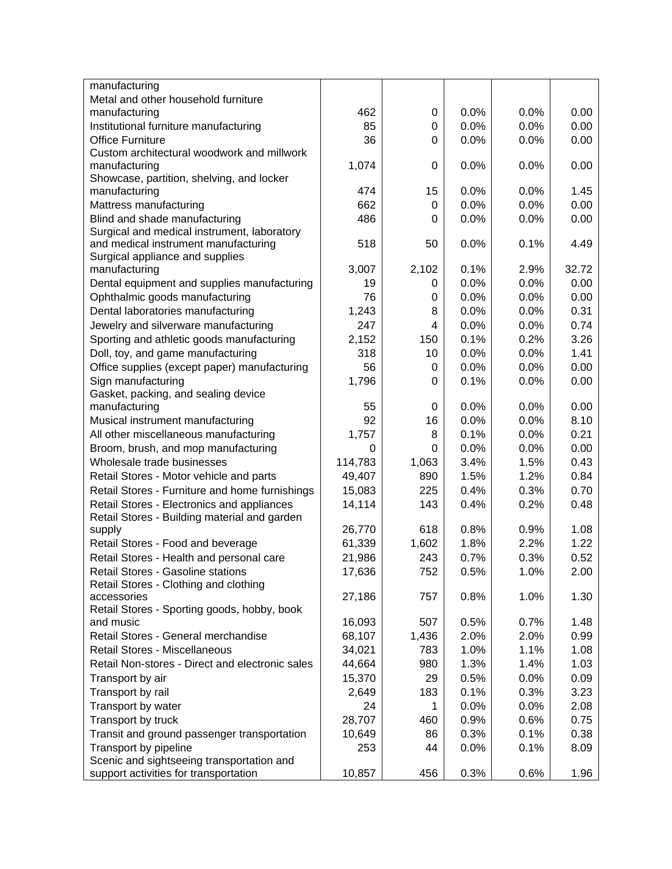| manufacturing                                            |         |       |      |      |       |
|----------------------------------------------------------|---------|-------|------|------|-------|
| Metal and other household furniture                      |         |       |      |      |       |
| manufacturing                                            | 462     | 0     | 0.0% | 0.0% | 0.00  |
| Institutional furniture manufacturing                    | 85      | 0     | 0.0% | 0.0% | 0.00  |
| <b>Office Furniture</b>                                  | 36      | 0     | 0.0% | 0.0% | 0.00  |
| Custom architectural woodwork and millwork               |         |       |      |      |       |
| manufacturing                                            | 1,074   | 0     | 0.0% | 0.0% | 0.00  |
| Showcase, partition, shelving, and locker                |         |       |      |      |       |
| manufacturing                                            | 474     | 15    | 0.0% | 0.0% | 1.45  |
| Mattress manufacturing                                   | 662     | 0     | 0.0% | 0.0% | 0.00  |
| Blind and shade manufacturing                            | 486     | 0     | 0.0% | 0.0% | 0.00  |
| Surgical and medical instrument, laboratory              |         |       |      |      |       |
| and medical instrument manufacturing                     | 518     | 50    | 0.0% | 0.1% | 4.49  |
| Surgical appliance and supplies<br>manufacturing         | 3,007   | 2,102 | 0.1% | 2.9% | 32.72 |
| Dental equipment and supplies manufacturing              | 19      | 0     | 0.0% | 0.0% | 0.00  |
|                                                          | 76      | 0     | 0.0% | 0.0% | 0.00  |
| Ophthalmic goods manufacturing                           |         |       |      |      |       |
| Dental laboratories manufacturing                        | 1,243   | 8     | 0.0% | 0.0% | 0.31  |
| Jewelry and silverware manufacturing                     | 247     | 4     | 0.0% | 0.0% | 0.74  |
| Sporting and athletic goods manufacturing                | 2,152   | 150   | 0.1% | 0.2% | 3.26  |
| Doll, toy, and game manufacturing                        | 318     | 10    | 0.0% | 0.0% | 1.41  |
| Office supplies (except paper) manufacturing             | 56      | 0     | 0.0% | 0.0% | 0.00  |
| Sign manufacturing                                       | 1,796   | 0     | 0.1% | 0.0% | 0.00  |
| Gasket, packing, and sealing device                      |         |       |      |      |       |
| manufacturing                                            | 55      | 0     | 0.0% | 0.0% | 0.00  |
| Musical instrument manufacturing                         | 92      | 16    | 0.0% | 0.0% | 8.10  |
| All other miscellaneous manufacturing                    | 1,757   | 8     | 0.1% | 0.0% | 0.21  |
| Broom, brush, and mop manufacturing                      | 0       | 0     | 0.0% | 0.0% | 0.00  |
| Wholesale trade businesses                               | 114,783 | 1,063 | 3.4% | 1.5% | 0.43  |
| Retail Stores - Motor vehicle and parts                  | 49,407  | 890   | 1.5% | 1.2% | 0.84  |
| Retail Stores - Furniture and home furnishings           | 15,083  | 225   | 0.4% | 0.3% | 0.70  |
| Retail Stores - Electronics and appliances               | 14,114  | 143   | 0.4% | 0.2% | 0.48  |
| Retail Stores - Building material and garden             |         |       |      |      |       |
| supply                                                   | 26,770  | 618   | 0.8% | 0.9% | 1.08  |
| Retail Stores - Food and beverage                        | 61,339  | 1,602 | 1.8% | 2.2% | 1.22  |
| Retail Stores - Health and personal care                 | 21,986  | 243   | 0.7% | 0.3% | 0.52  |
| Retail Stores - Gasoline stations                        | 17,636  | 752   | 0.5% | 1.0% | 2.00  |
| Retail Stores - Clothing and clothing                    |         |       |      |      |       |
| accessories                                              | 27,186  | 757   | 0.8% | 1.0% | 1.30  |
| Retail Stores - Sporting goods, hobby, book<br>and music | 16,093  | 507   | 0.5% | 0.7% | 1.48  |
| Retail Stores - General merchandise                      | 68,107  | 1,436 | 2.0% | 2.0% | 0.99  |
| Retail Stores - Miscellaneous                            | 34,021  | 783   | 1.0% | 1.1% | 1.08  |
| Retail Non-stores - Direct and electronic sales          | 44,664  | 980   | 1.3% | 1.4% | 1.03  |
|                                                          |         |       | 0.5% |      |       |
| Transport by air                                         | 15,370  | 29    |      | 0.0% | 0.09  |
| Transport by rail                                        | 2,649   | 183   | 0.1% | 0.3% | 3.23  |
| Transport by water                                       | 24      | 1     | 0.0% | 0.0% | 2.08  |
| Transport by truck                                       | 28,707  | 460   | 0.9% | 0.6% | 0.75  |
| Transit and ground passenger transportation              | 10,649  | 86    | 0.3% | 0.1% | 0.38  |
| Transport by pipeline                                    | 253     | 44    | 0.0% | 0.1% | 8.09  |
| Scenic and sightseeing transportation and                |         |       |      |      |       |
| support activities for transportation                    | 10,857  | 456   | 0.3% | 0.6% | 1.96  |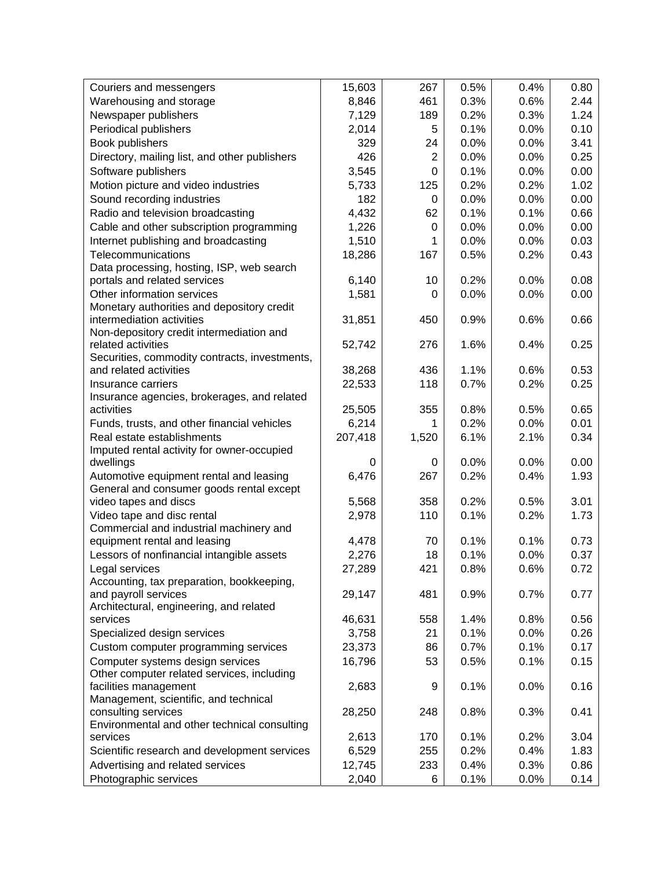| Couriers and messengers                                                 | 15,603  | 267            | 0.5% | 0.4% | 0.80 |
|-------------------------------------------------------------------------|---------|----------------|------|------|------|
| Warehousing and storage                                                 | 8,846   | 461            | 0.3% | 0.6% | 2.44 |
| Newspaper publishers                                                    | 7,129   | 189            | 0.2% | 0.3% | 1.24 |
| Periodical publishers                                                   | 2,014   | 5              | 0.1% | 0.0% | 0.10 |
| Book publishers                                                         | 329     | 24             | 0.0% | 0.0% | 3.41 |
| Directory, mailing list, and other publishers                           | 426     | $\overline{2}$ | 0.0% | 0.0% | 0.25 |
| Software publishers                                                     | 3,545   | 0              | 0.1% | 0.0% | 0.00 |
| Motion picture and video industries                                     | 5,733   | 125            | 0.2% | 0.2% | 1.02 |
| Sound recording industries                                              | 182     | 0              | 0.0% | 0.0% | 0.00 |
| Radio and television broadcasting                                       | 4,432   | 62             | 0.1% | 0.1% | 0.66 |
| Cable and other subscription programming                                | 1,226   | 0              | 0.0% | 0.0% | 0.00 |
| Internet publishing and broadcasting                                    | 1,510   | 1              | 0.0% | 0.0% | 0.03 |
| Telecommunications                                                      | 18,286  | 167            | 0.5% | 0.2% | 0.43 |
| Data processing, hosting, ISP, web search                               |         |                |      |      |      |
| portals and related services                                            | 6,140   | 10             | 0.2% | 0.0% | 0.08 |
| Other information services                                              | 1,581   | 0              | 0.0% | 0.0% | 0.00 |
| Monetary authorities and depository credit                              |         |                |      |      |      |
| intermediation activities                                               | 31,851  | 450            | 0.9% | 0.6% | 0.66 |
| Non-depository credit intermediation and                                |         |                |      |      |      |
| related activities                                                      | 52,742  | 276            | 1.6% | 0.4% | 0.25 |
| Securities, commodity contracts, investments,<br>and related activities | 38,268  | 436            | 1.1% | 0.6% | 0.53 |
| Insurance carriers                                                      | 22,533  | 118            | 0.7% | 0.2% | 0.25 |
| Insurance agencies, brokerages, and related                             |         |                |      |      |      |
| activities                                                              | 25,505  | 355            | 0.8% | 0.5% | 0.65 |
| Funds, trusts, and other financial vehicles                             | 6,214   | 1              | 0.2% | 0.0% | 0.01 |
| Real estate establishments                                              | 207,418 | 1,520          | 6.1% | 2.1% | 0.34 |
| Imputed rental activity for owner-occupied                              |         |                |      |      |      |
| dwellings                                                               | 0       | 0              | 0.0% | 0.0% | 0.00 |
| Automotive equipment rental and leasing                                 | 6,476   | 267            | 0.2% | 0.4% | 1.93 |
| General and consumer goods rental except                                |         |                |      |      |      |
| video tapes and discs                                                   | 5,568   | 358            | 0.2% | 0.5% | 3.01 |
| Video tape and disc rental                                              | 2,978   | 110            | 0.1% | 0.2% | 1.73 |
| Commercial and industrial machinery and                                 |         |                |      |      |      |
| equipment rental and leasing                                            | 4,478   | 70             | 0.1% | 0.1% | 0.73 |
| Lessors of nonfinancial intangible assets                               | 2,276   | 18             | 0.1% | 0.0% | 0.37 |
| Legal services                                                          | 27,289  | 421            | 0.8% | 0.6% | 0.72 |
| Accounting, tax preparation, bookkeeping,                               |         |                |      |      |      |
| and payroll services<br>Architectural, engineering, and related         | 29,147  | 481            | 0.9% | 0.7% | 0.77 |
| services                                                                | 46,631  | 558            | 1.4% | 0.8% | 0.56 |
| Specialized design services                                             | 3,758   | 21             | 0.1% | 0.0% | 0.26 |
| Custom computer programming services                                    | 23,373  | 86             | 0.7% | 0.1% | 0.17 |
| Computer systems design services                                        | 16,796  | 53             | 0.5% | 0.1% | 0.15 |
| Other computer related services, including                              |         |                |      |      |      |
| facilities management                                                   | 2,683   | 9              | 0.1% | 0.0% | 0.16 |
| Management, scientific, and technical                                   |         |                |      |      |      |
| consulting services                                                     | 28,250  | 248            | 0.8% | 0.3% | 0.41 |
| Environmental and other technical consulting                            |         |                |      |      |      |
| services                                                                | 2,613   | 170            | 0.1% | 0.2% | 3.04 |
| Scientific research and development services                            | 6,529   | 255            | 0.2% | 0.4% | 1.83 |
| Advertising and related services                                        | 12,745  | 233            | 0.4% | 0.3% | 0.86 |
| Photographic services                                                   | 2,040   | 6              | 0.1% | 0.0% | 0.14 |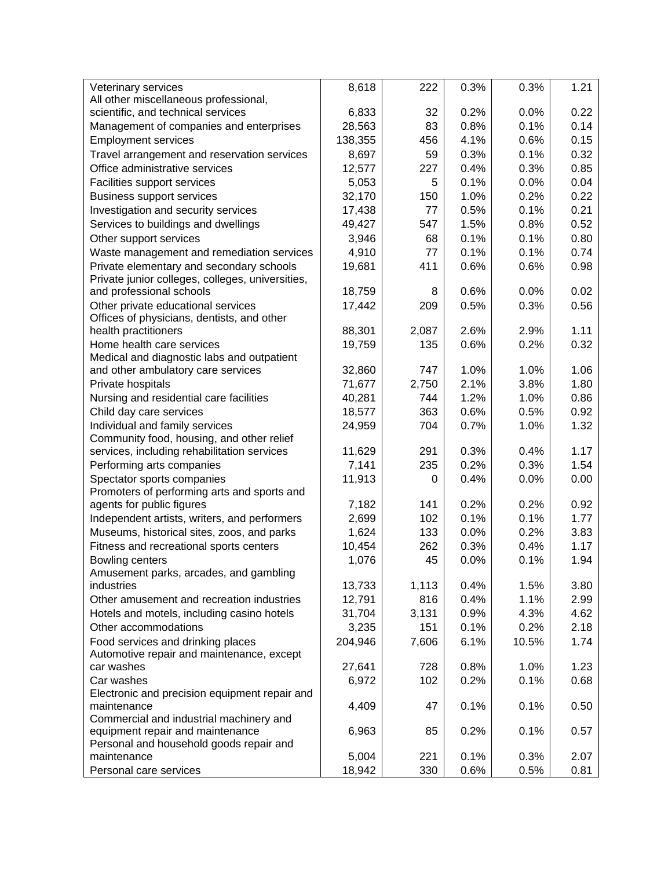| Veterinary services                              | 8,618   | 222   | 0.3% | 0.3%  | 1.21 |
|--------------------------------------------------|---------|-------|------|-------|------|
| All other miscellaneous professional,            |         |       |      |       |      |
| scientific, and technical services               | 6,833   | 32    | 0.2% | 0.0%  | 0.22 |
| Management of companies and enterprises          | 28,563  | 83    | 0.8% | 0.1%  | 0.14 |
| <b>Employment services</b>                       | 138,355 | 456   | 4.1% | 0.6%  | 0.15 |
| Travel arrangement and reservation services      | 8,697   | 59    | 0.3% | 0.1%  | 0.32 |
| Office administrative services                   | 12,577  | 227   | 0.4% | 0.3%  | 0.85 |
| Facilities support services                      | 5,053   | 5     | 0.1% | 0.0%  | 0.04 |
| <b>Business support services</b>                 | 32,170  | 150   | 1.0% | 0.2%  | 0.22 |
|                                                  |         | 77    | 0.5% | 0.1%  | 0.21 |
| Investigation and security services              | 17,438  |       |      |       |      |
| Services to buildings and dwellings              | 49,427  | 547   | 1.5% | 0.8%  | 0.52 |
| Other support services                           | 3,946   | 68    | 0.1% | 0.1%  | 0.80 |
| Waste management and remediation services        | 4,910   | 77    | 0.1% | 0.1%  | 0.74 |
| Private elementary and secondary schools         | 19,681  | 411   | 0.6% | 0.6%  | 0.98 |
| Private junior colleges, colleges, universities, |         |       |      |       |      |
| and professional schools                         | 18,759  | 8     | 0.6% | 0.0%  | 0.02 |
| Other private educational services               | 17,442  | 209   | 0.5% | 0.3%  | 0.56 |
| Offices of physicians, dentists, and other       |         |       |      |       |      |
| health practitioners                             | 88,301  | 2,087 | 2.6% | 2.9%  | 1.11 |
| Home health care services                        | 19,759  | 135   | 0.6% | 0.2%  | 0.32 |
| Medical and diagnostic labs and outpatient       |         |       |      |       |      |
| and other ambulatory care services               | 32,860  | 747   | 1.0% | 1.0%  | 1.06 |
| Private hospitals                                | 71,677  | 2,750 | 2.1% | 3.8%  | 1.80 |
| Nursing and residential care facilities          | 40,281  | 744   | 1.2% | 1.0%  | 0.86 |
| Child day care services                          | 18,577  | 363   | 0.6% | 0.5%  | 0.92 |
| Individual and family services                   | 24,959  | 704   | 0.7% | 1.0%  | 1.32 |
| Community food, housing, and other relief        |         |       |      |       |      |
| services, including rehabilitation services      | 11,629  | 291   | 0.3% | 0.4%  | 1.17 |
| Performing arts companies                        | 7,141   | 235   | 0.2% | 0.3%  | 1.54 |
| Spectator sports companies                       | 11,913  | 0     | 0.4% | 0.0%  | 0.00 |
| Promoters of performing arts and sports and      |         |       |      |       |      |
| agents for public figures                        | 7,182   | 141   | 0.2% | 0.2%  | 0.92 |
| Independent artists, writers, and performers     | 2,699   | 102   | 0.1% | 0.1%  | 1.77 |
| Museums, historical sites, zoos, and parks       | 1,624   | 133   | 0.0% | 0.2%  | 3.83 |
| Fitness and recreational sports centers          | 10,454  | 262   | 0.3% | 0.4%  | 1.17 |
| Bowling centers                                  | 1,076   | 45    | 0.0% | 0.1%  | 1.94 |
| Amusement parks, arcades, and gambling           |         |       |      |       |      |
| industries                                       | 13,733  | 1,113 | 0.4% | 1.5%  | 3.80 |
| Other amusement and recreation industries        | 12,791  | 816   | 0.4% | 1.1%  | 2.99 |
| Hotels and motels, including casino hotels       | 31,704  | 3,131 | 0.9% | 4.3%  | 4.62 |
| Other accommodations                             | 3,235   | 151   | 0.1% | 0.2%  | 2.18 |
| Food services and drinking places                | 204,946 | 7,606 | 6.1% | 10.5% | 1.74 |
| Automotive repair and maintenance, except        |         |       |      |       |      |
| car washes                                       | 27,641  | 728   | 0.8% | 1.0%  | 1.23 |
| Car washes                                       | 6,972   | 102   | 0.2% | 0.1%  | 0.68 |
| Electronic and precision equipment repair and    |         |       |      |       |      |
| maintenance                                      | 4,409   | 47    | 0.1% | 0.1%  | 0.50 |
| Commercial and industrial machinery and          |         |       |      |       |      |
| equipment repair and maintenance                 | 6,963   | 85    | 0.2% | 0.1%  | 0.57 |
| Personal and household goods repair and          |         |       |      |       |      |
| maintenance                                      | 5,004   | 221   | 0.1% | 0.3%  | 2.07 |
| Personal care services                           | 18,942  | 330   | 0.6% | 0.5%  | 0.81 |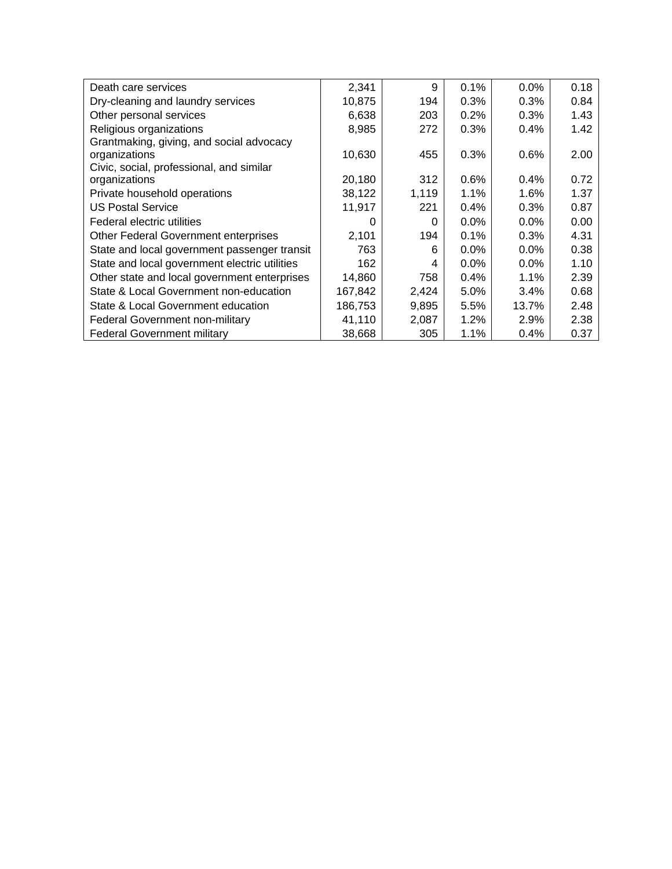| Death care services                           | 2,341   | 9     | 0.1%    | 0.0%    | 0.18 |
|-----------------------------------------------|---------|-------|---------|---------|------|
| Dry-cleaning and laundry services             | 10,875  | 194   | 0.3%    | 0.3%    | 0.84 |
| Other personal services                       | 6,638   | 203   | 0.2%    | 0.3%    | 1.43 |
| Religious organizations                       | 8,985   | 272   | 0.3%    | 0.4%    | 1.42 |
| Grantmaking, giving, and social advocacy      |         |       |         |         |      |
| organizations                                 | 10,630  | 455   | 0.3%    | 0.6%    | 2.00 |
| Civic, social, professional, and similar      |         |       |         |         |      |
| organizations                                 | 20,180  | 312   | 0.6%    | 0.4%    | 0.72 |
| Private household operations                  | 38,122  | 1,119 | 1.1%    | 1.6%    | 1.37 |
| <b>US Postal Service</b>                      | 11,917  | 221   | $0.4\%$ | 0.3%    | 0.87 |
| Federal electric utilities                    | O       | 0     | 0.0%    | $0.0\%$ | 0.00 |
| <b>Other Federal Government enterprises</b>   | 2,101   | 194   | 0.1%    | 0.3%    | 4.31 |
| State and local government passenger transit  | 763     | 6     | 0.0%    | $0.0\%$ | 0.38 |
| State and local government electric utilities | 162     | 4     | $0.0\%$ | $0.0\%$ | 1.10 |
| Other state and local government enterprises  | 14,860  | 758   | 0.4%    | 1.1%    | 2.39 |
| State & Local Government non-education        | 167,842 | 2,424 | 5.0%    | 3.4%    | 0.68 |
| State & Local Government education            | 186,753 | 9,895 | 5.5%    | 13.7%   | 2.48 |
| Federal Government non-military               | 41,110  | 2,087 | $1.2\%$ | 2.9%    | 2.38 |
| <b>Federal Government military</b>            | 38,668  | 305   | 1.1%    | 0.4%    | 0.37 |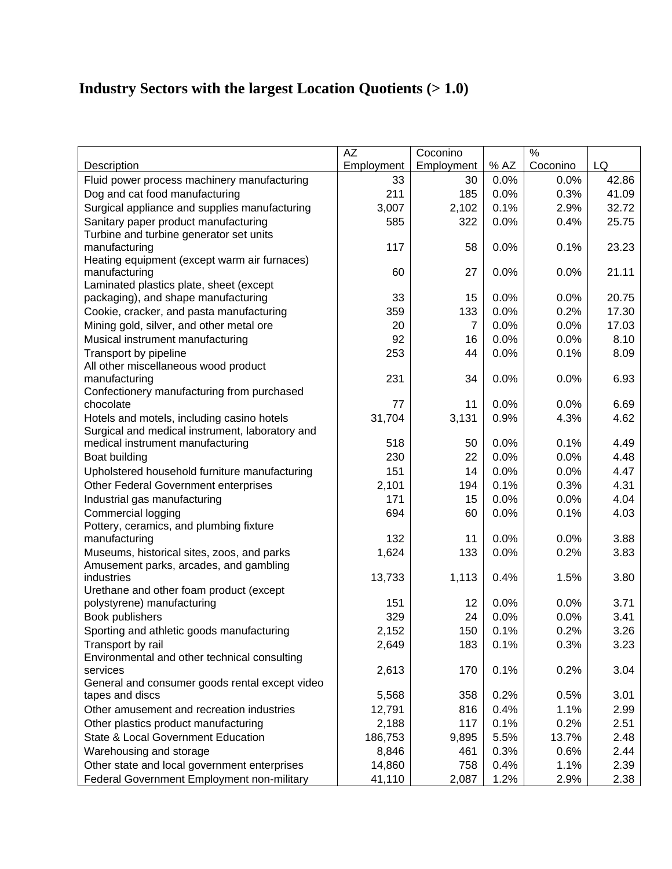### **Industry Sectors with the largest Location Quotients (> 1.0)**

|                                                               | <b>AZ</b>  | Coconino   |      | $\frac{0}{0}$ |       |
|---------------------------------------------------------------|------------|------------|------|---------------|-------|
| Description                                                   | Employment | Employment | % AZ | Coconino      | LQ    |
| Fluid power process machinery manufacturing                   | 33         | 30         | 0.0% | 0.0%          | 42.86 |
| Dog and cat food manufacturing                                | 211        | 185        | 0.0% | 0.3%          | 41.09 |
| Surgical appliance and supplies manufacturing                 | 3,007      | 2,102      | 0.1% | 2.9%          | 32.72 |
| Sanitary paper product manufacturing                          | 585        | 322        | 0.0% | 0.4%          | 25.75 |
| Turbine and turbine generator set units                       |            |            |      |               |       |
| manufacturing                                                 | 117        | 58         | 0.0% | 0.1%          | 23.23 |
| Heating equipment (except warm air furnaces)                  |            |            |      |               |       |
| manufacturing                                                 | 60         | 27         | 0.0% | 0.0%          | 21.11 |
| Laminated plastics plate, sheet (except                       |            |            |      |               |       |
| packaging), and shape manufacturing                           | 33         | 15         | 0.0% | 0.0%          | 20.75 |
| Cookie, cracker, and pasta manufacturing                      | 359        | 133        | 0.0% | 0.2%          | 17.30 |
| Mining gold, silver, and other metal ore                      | 20         | 7          | 0.0% | 0.0%          | 17.03 |
| Musical instrument manufacturing                              | 92         | 16         | 0.0% | 0.0%          | 8.10  |
| Transport by pipeline                                         | 253        | 44         | 0.0% | 0.1%          | 8.09  |
| All other miscellaneous wood product                          |            |            |      |               |       |
| manufacturing                                                 | 231        | 34         | 0.0% | 0.0%          | 6.93  |
| Confectionery manufacturing from purchased<br>chocolate       | 77         | 11         | 0.0% | 0.0%          | 6.69  |
| Hotels and motels, including casino hotels                    | 31,704     |            |      |               | 4.62  |
| Surgical and medical instrument, laboratory and               |            | 3,131      | 0.9% | 4.3%          |       |
| medical instrument manufacturing                              | 518        | 50         | 0.0% | 0.1%          | 4.49  |
| Boat building                                                 | 230        | 22         | 0.0% | 0.0%          | 4.48  |
| Upholstered household furniture manufacturing                 | 151        | 14         | 0.0% | 0.0%          | 4.47  |
| Other Federal Government enterprises                          | 2,101      | 194        | 0.1% | 0.3%          | 4.31  |
|                                                               | 171        | 15         | 0.0% | 0.0%          | 4.04  |
| Industrial gas manufacturing                                  |            |            |      |               |       |
| Commercial logging<br>Pottery, ceramics, and plumbing fixture | 694        | 60         | 0.0% | 0.1%          | 4.03  |
| manufacturing                                                 | 132        | 11         | 0.0% | 0.0%          | 3.88  |
| Museums, historical sites, zoos, and parks                    | 1,624      | 133        | 0.0% | 0.2%          | 3.83  |
| Amusement parks, arcades, and gambling                        |            |            |      |               |       |
| industries                                                    | 13,733     | 1,113      | 0.4% | 1.5%          | 3.80  |
| Urethane and other foam product (except                       |            |            |      |               |       |
| polystyrene) manufacturing                                    | 151        | 12         | 0.0% | 0.0%          | 3.71  |
| Book publishers                                               | 329        | 24         | 0.0% | 0.0%          | 3.41  |
| Sporting and athletic goods manufacturing                     | 2,152      | 150        | 0.1% | 0.2%          | 3.26  |
| Transport by rail                                             | 2,649      | 183        | 0.1% | 0.3%          | 3.23  |
| Environmental and other technical consulting                  |            |            |      |               |       |
| services                                                      | 2,613      | 170        | 0.1% | 0.2%          | 3.04  |
| General and consumer goods rental except video                |            |            |      |               |       |
| tapes and discs                                               | 5,568      | 358        | 0.2% | 0.5%          | 3.01  |
| Other amusement and recreation industries                     | 12,791     | 816        | 0.4% | 1.1%          | 2.99  |
| Other plastics product manufacturing                          | 2,188      | 117        | 0.1% | 0.2%          | 2.51  |
| State & Local Government Education                            | 186,753    | 9,895      | 5.5% | 13.7%         | 2.48  |
| Warehousing and storage                                       | 8,846      | 461        | 0.3% | 0.6%          | 2.44  |
| Other state and local government enterprises                  | 14,860     | 758        | 0.4% | 1.1%          | 2.39  |
| Federal Government Employment non-military                    | 41,110     | 2,087      | 1.2% | 2.9%          | 2.38  |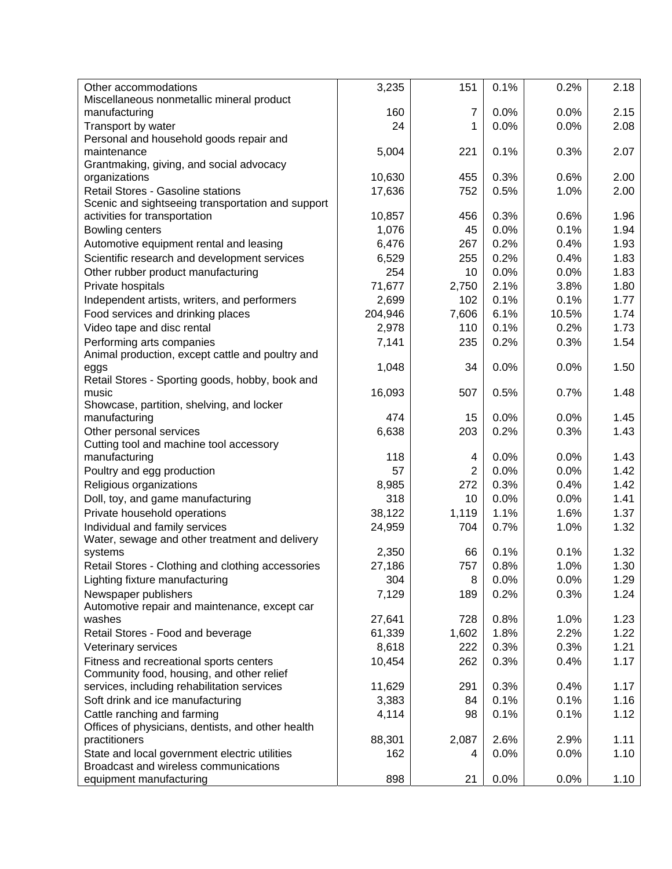| Other accommodations                              | 3,235   | 151            | 0.1% | 0.2%  | 2.18 |
|---------------------------------------------------|---------|----------------|------|-------|------|
| Miscellaneous nonmetallic mineral product         |         |                |      |       |      |
| manufacturing                                     | 160     | 7              | 0.0% | 0.0%  | 2.15 |
| Transport by water                                | 24      | 1              | 0.0% | 0.0%  | 2.08 |
| Personal and household goods repair and           |         |                |      |       |      |
| maintenance                                       | 5,004   | 221            | 0.1% | 0.3%  | 2.07 |
| Grantmaking, giving, and social advocacy          |         |                |      |       |      |
| organizations                                     | 10,630  | 455            | 0.3% | 0.6%  | 2.00 |
| Retail Stores - Gasoline stations                 | 17,636  | 752            | 0.5% | 1.0%  | 2.00 |
| Scenic and sightseeing transportation and support |         |                |      |       |      |
| activities for transportation                     | 10,857  | 456            | 0.3% | 0.6%  | 1.96 |
| Bowling centers                                   | 1,076   | 45             | 0.0% | 0.1%  | 1.94 |
| Automotive equipment rental and leasing           | 6,476   | 267            | 0.2% | 0.4%  | 1.93 |
| Scientific research and development services      | 6,529   | 255            | 0.2% | 0.4%  | 1.83 |
| Other rubber product manufacturing                | 254     | 10             | 0.0% | 0.0%  | 1.83 |
| Private hospitals                                 | 71,677  | 2,750          | 2.1% | 3.8%  | 1.80 |
| Independent artists, writers, and performers      | 2,699   | 102            | 0.1% | 0.1%  | 1.77 |
| Food services and drinking places                 | 204,946 | 7,606          | 6.1% | 10.5% | 1.74 |
| Video tape and disc rental                        | 2,978   | 110            | 0.1% | 0.2%  | 1.73 |
| Performing arts companies                         | 7,141   | 235            | 0.2% | 0.3%  | 1.54 |
| Animal production, except cattle and poultry and  |         |                |      |       |      |
| eggs                                              | 1,048   | 34             | 0.0% | 0.0%  | 1.50 |
| Retail Stores - Sporting goods, hobby, book and   |         |                |      |       |      |
| music                                             | 16,093  | 507            | 0.5% | 0.7%  | 1.48 |
| Showcase, partition, shelving, and locker         |         |                |      |       |      |
| manufacturing                                     | 474     | 15             | 0.0% | 0.0%  | 1.45 |
| Other personal services                           | 6,638   | 203            | 0.2% | 0.3%  | 1.43 |
| Cutting tool and machine tool accessory           |         |                |      |       |      |
| manufacturing                                     | 118     | 4              | 0.0% | 0.0%  | 1.43 |
| Poultry and egg production                        | 57      | $\overline{2}$ | 0.0% | 0.0%  | 1.42 |
| Religious organizations                           | 8,985   | 272            | 0.3% | 0.4%  | 1.42 |
| Doll, toy, and game manufacturing                 | 318     | 10             | 0.0% | 0.0%  | 1.41 |
| Private household operations                      | 38,122  | 1,119          | 1.1% | 1.6%  | 1.37 |
| Individual and family services                    | 24,959  | 704            | 0.7% | 1.0%  | 1.32 |
| Water, sewage and other treatment and delivery    |         |                |      |       |      |
| systems                                           | 2,350   | 66             | 0.1% | 0.1%  | 1.32 |
| Retail Stores - Clothing and clothing accessories | 27,186  | 757            | 0.8% | 1.0%  | 1.30 |
| Lighting fixture manufacturing                    | 304     | 8              | 0.0% | 0.0%  | 1.29 |
| Newspaper publishers                              | 7,129   | 189            | 0.2% | 0.3%  | 1.24 |
| Automotive repair and maintenance, except car     |         |                |      |       |      |
| washes                                            | 27,641  | 728            | 0.8% | 1.0%  | 1.23 |
| Retail Stores - Food and beverage                 | 61,339  | 1,602          | 1.8% | 2.2%  | 1.22 |
| Veterinary services                               | 8,618   | 222            | 0.3% | 0.3%  | 1.21 |
| Fitness and recreational sports centers           | 10,454  | 262            | 0.3% | 0.4%  | 1.17 |
| Community food, housing, and other relief         |         |                |      |       |      |
| services, including rehabilitation services       | 11,629  | 291            | 0.3% | 0.4%  | 1.17 |
| Soft drink and ice manufacturing                  | 3,383   | 84             | 0.1% | 0.1%  | 1.16 |
| Cattle ranching and farming                       | 4,114   | 98             | 0.1% | 0.1%  | 1.12 |
| Offices of physicians, dentists, and other health |         |                |      |       |      |
| practitioners                                     | 88,301  | 2,087          | 2.6% | 2.9%  | 1.11 |
| State and local government electric utilities     | 162     | 4              | 0.0% | 0.0%  | 1.10 |
| Broadcast and wireless communications             |         |                |      |       |      |
| equipment manufacturing                           | 898     | 21             | 0.0% | 0.0%  | 1.10 |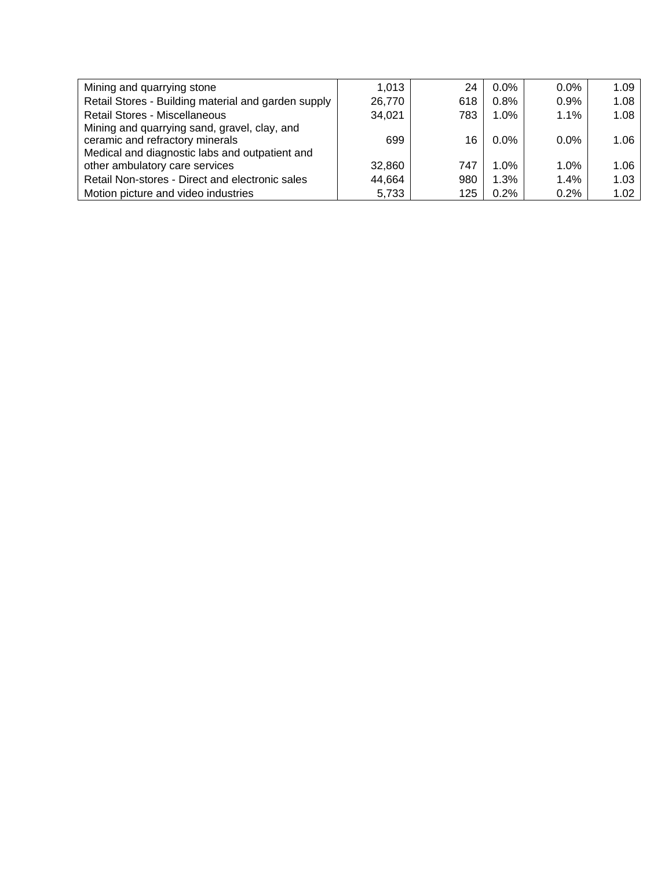| Mining and quarrying stone                          | 1,013  | 24  | $0.0\%$ | $0.0\%$ | 1.09 |
|-----------------------------------------------------|--------|-----|---------|---------|------|
| Retail Stores - Building material and garden supply | 26,770 | 618 | 0.8%    | 0.9%    | 1.08 |
| <b>Retail Stores - Miscellaneous</b>                | 34,021 | 783 | 1.0%    | 1.1%    | 1.08 |
| Mining and quarrying sand, gravel, clay, and        |        |     |         |         |      |
| ceramic and refractory minerals                     | 699    | 16  | $0.0\%$ | $0.0\%$ | 1.06 |
| Medical and diagnostic labs and outpatient and      |        |     |         |         |      |
| other ambulatory care services                      | 32,860 | 747 | $1.0\%$ | $1.0\%$ | 1.06 |
| Retail Non-stores - Direct and electronic sales     | 44,664 | 980 | 1.3%    | $1.4\%$ | 1.03 |
| Motion picture and video industries                 | 5,733  | 125 | 0.2%    | 0.2%    | 1.02 |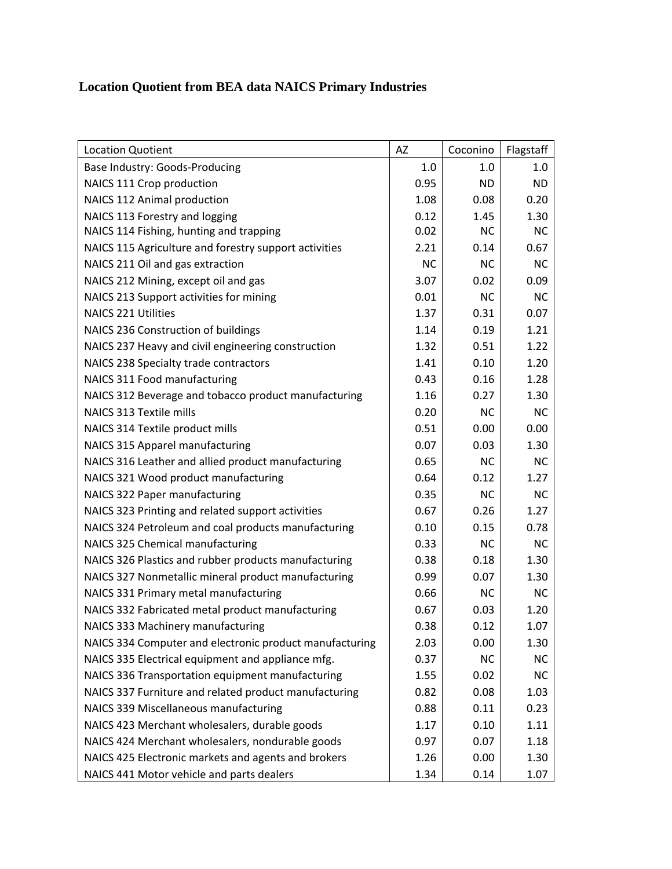#### **Location Quotient from BEA data NAICS Primary Industries**

| <b>Location Quotient</b>                                | AZ        | Coconino  | Flagstaff |
|---------------------------------------------------------|-----------|-----------|-----------|
| Base Industry: Goods-Producing                          | 1.0       | 1.0       | 1.0       |
| NAICS 111 Crop production                               | 0.95      | <b>ND</b> | <b>ND</b> |
| NAICS 112 Animal production                             | 1.08      | 0.08      | 0.20      |
| NAICS 113 Forestry and logging                          | 0.12      | 1.45      | 1.30      |
| NAICS 114 Fishing, hunting and trapping                 | 0.02      | <b>NC</b> | <b>NC</b> |
| NAICS 115 Agriculture and forestry support activities   | 2.21      | 0.14      | 0.67      |
| NAICS 211 Oil and gas extraction                        | <b>NC</b> | <b>NC</b> | <b>NC</b> |
| NAICS 212 Mining, except oil and gas                    | 3.07      | 0.02      | 0.09      |
| NAICS 213 Support activities for mining                 | 0.01      | <b>NC</b> | <b>NC</b> |
| <b>NAICS 221 Utilities</b>                              | 1.37      | 0.31      | 0.07      |
| NAICS 236 Construction of buildings                     | 1.14      | 0.19      | 1.21      |
| NAICS 237 Heavy and civil engineering construction      | 1.32      | 0.51      | 1.22      |
| NAICS 238 Specialty trade contractors                   | 1.41      | 0.10      | 1.20      |
| NAICS 311 Food manufacturing                            | 0.43      | 0.16      | 1.28      |
| NAICS 312 Beverage and tobacco product manufacturing    | 1.16      | 0.27      | 1.30      |
| <b>NAICS 313 Textile mills</b>                          | 0.20      | <b>NC</b> | <b>NC</b> |
| NAICS 314 Textile product mills                         | 0.51      | 0.00      | 0.00      |
| NAICS 315 Apparel manufacturing                         | 0.07      | 0.03      | 1.30      |
| NAICS 316 Leather and allied product manufacturing      | 0.65      | <b>NC</b> | <b>NC</b> |
| NAICS 321 Wood product manufacturing                    | 0.64      | 0.12      | 1.27      |
| NAICS 322 Paper manufacturing                           | 0.35      | <b>NC</b> | <b>NC</b> |
| NAICS 323 Printing and related support activities       | 0.67      | 0.26      | 1.27      |
| NAICS 324 Petroleum and coal products manufacturing     | 0.10      | 0.15      | 0.78      |
| NAICS 325 Chemical manufacturing                        | 0.33      | <b>NC</b> | <b>NC</b> |
| NAICS 326 Plastics and rubber products manufacturing    | 0.38      | 0.18      | 1.30      |
| NAICS 327 Nonmetallic mineral product manufacturing     | 0.99      | 0.07      | 1.30      |
| NAICS 331 Primary metal manufacturing                   | 0.66      | <b>NC</b> | <b>NC</b> |
| NAICS 332 Fabricated metal product manufacturing        | 0.67      | 0.03      | 1.20      |
| NAICS 333 Machinery manufacturing                       | 0.38      | 0.12      | 1.07      |
| NAICS 334 Computer and electronic product manufacturing | 2.03      | 0.00      | 1.30      |
| NAICS 335 Electrical equipment and appliance mfg.       | 0.37      | <b>NC</b> | <b>NC</b> |
| NAICS 336 Transportation equipment manufacturing        | 1.55      | 0.02      | <b>NC</b> |
| NAICS 337 Furniture and related product manufacturing   | 0.82      | 0.08      | 1.03      |
| NAICS 339 Miscellaneous manufacturing                   | 0.88      | 0.11      | 0.23      |
| NAICS 423 Merchant wholesalers, durable goods           | 1.17      | 0.10      | 1.11      |
| NAICS 424 Merchant wholesalers, nondurable goods        | 0.97      | 0.07      | 1.18      |
| NAICS 425 Electronic markets and agents and brokers     | 1.26      | 0.00      | 1.30      |
| NAICS 441 Motor vehicle and parts dealers               | 1.34      | 0.14      | 1.07      |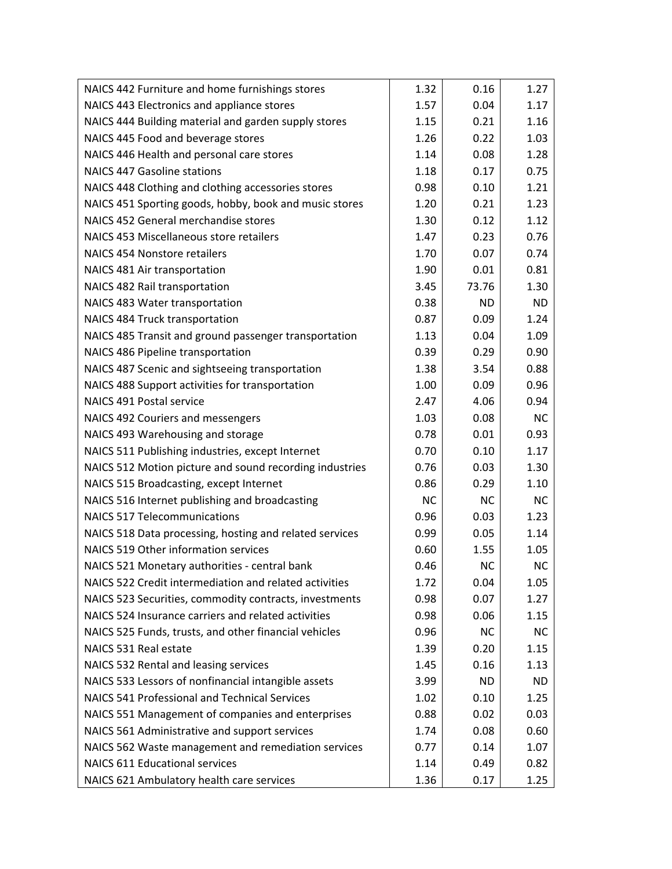| NAICS 442 Furniture and home furnishings stores         | 1.32      | 0.16      | 1.27      |
|---------------------------------------------------------|-----------|-----------|-----------|
| NAICS 443 Electronics and appliance stores              | 1.57      | 0.04      | 1.17      |
| NAICS 444 Building material and garden supply stores    | 1.15      | 0.21      | 1.16      |
| NAICS 445 Food and beverage stores                      | 1.26      | 0.22      | 1.03      |
| NAICS 446 Health and personal care stores               | 1.14      | 0.08      | 1.28      |
| <b>NAICS 447 Gasoline stations</b>                      | 1.18      | 0.17      | 0.75      |
| NAICS 448 Clothing and clothing accessories stores      | 0.98      | 0.10      | 1.21      |
| NAICS 451 Sporting goods, hobby, book and music stores  | 1.20      | 0.21      | 1.23      |
| NAICS 452 General merchandise stores                    | 1.30      | 0.12      | 1.12      |
| NAICS 453 Miscellaneous store retailers                 | 1.47      | 0.23      | 0.76      |
| <b>NAICS 454 Nonstore retailers</b>                     | 1.70      | 0.07      | 0.74      |
| NAICS 481 Air transportation                            | 1.90      | 0.01      | 0.81      |
| NAICS 482 Rail transportation                           | 3.45      | 73.76     | 1.30      |
| NAICS 483 Water transportation                          | 0.38      | <b>ND</b> | <b>ND</b> |
| NAICS 484 Truck transportation                          | 0.87      | 0.09      | 1.24      |
| NAICS 485 Transit and ground passenger transportation   | 1.13      | 0.04      | 1.09      |
| NAICS 486 Pipeline transportation                       | 0.39      | 0.29      | 0.90      |
| NAICS 487 Scenic and sightseeing transportation         | 1.38      | 3.54      | 0.88      |
| NAICS 488 Support activities for transportation         | 1.00      | 0.09      | 0.96      |
| NAICS 491 Postal service                                | 2.47      | 4.06      | 0.94      |
| NAICS 492 Couriers and messengers                       | 1.03      | 0.08      | <b>NC</b> |
| NAICS 493 Warehousing and storage                       | 0.78      | 0.01      | 0.93      |
| NAICS 511 Publishing industries, except Internet        | 0.70      | 0.10      | 1.17      |
| NAICS 512 Motion picture and sound recording industries | 0.76      | 0.03      | 1.30      |
| NAICS 515 Broadcasting, except Internet                 | 0.86      | 0.29      | 1.10      |
| NAICS 516 Internet publishing and broadcasting          | <b>NC</b> | <b>NC</b> | <b>NC</b> |
| <b>NAICS 517 Telecommunications</b>                     | 0.96      | 0.03      | 1.23      |
| NAICS 518 Data processing, hosting and related services | 0.99      | 0.05      | 1.14      |
| NAICS 519 Other information services                    | 0.60      | 1.55      | 1.05      |
| NAICS 521 Monetary authorities - central bank           | 0.46      | <b>NC</b> | <b>NC</b> |
| NAICS 522 Credit intermediation and related activities  | 1.72      | 0.04      | 1.05      |
| NAICS 523 Securities, commodity contracts, investments  | 0.98      | 0.07      | 1.27      |
| NAICS 524 Insurance carriers and related activities     | 0.98      | 0.06      | 1.15      |
| NAICS 525 Funds, trusts, and other financial vehicles   | 0.96      | <b>NC</b> | <b>NC</b> |
| NAICS 531 Real estate                                   | 1.39      | 0.20      | 1.15      |
| NAICS 532 Rental and leasing services                   | 1.45      | 0.16      | 1.13      |
| NAICS 533 Lessors of nonfinancial intangible assets     | 3.99      | <b>ND</b> | <b>ND</b> |
| NAICS 541 Professional and Technical Services           | 1.02      | 0.10      | 1.25      |
| NAICS 551 Management of companies and enterprises       | 0.88      | 0.02      | 0.03      |
| NAICS 561 Administrative and support services           | 1.74      | 0.08      | 0.60      |
| NAICS 562 Waste management and remediation services     | 0.77      | 0.14      | 1.07      |
| <b>NAICS 611 Educational services</b>                   | 1.14      | 0.49      | 0.82      |
| NAICS 621 Ambulatory health care services               | 1.36      | 0.17      | 1.25      |